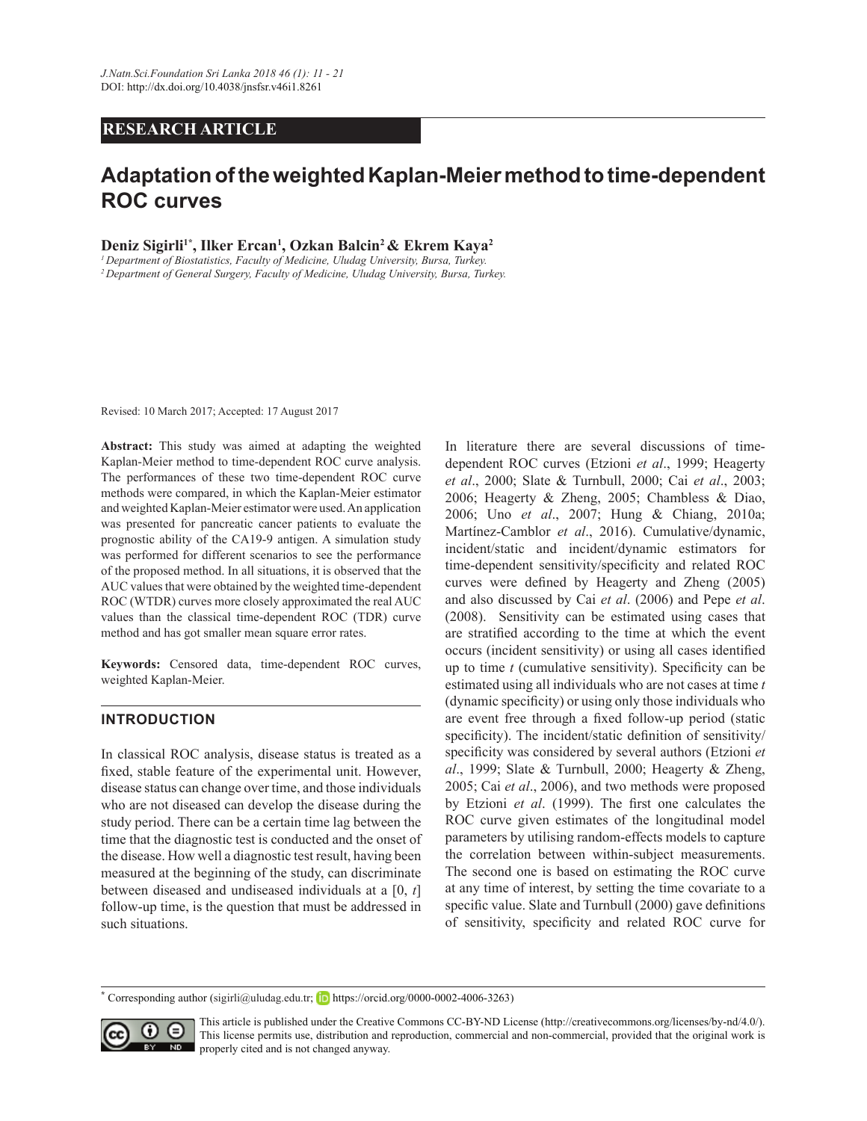# **RESEARCH ARTICLE**

# **Adaptation of the weighted Kaplan-Meier method to time-dependent ROC curves**

**Deniz Sigirli1\*, Ilker Ercan<sup>1</sup> , Ozkan Balcin<sup>2</sup>& Ekrem Kaya<sup>2</sup>**

<sup>1</sup> Department of Biostatistics, Faculty of Medicine, Uludag University, Bursa, Turkey. <sup>2</sup> Department of General Surgery, Faculty of Medicine, Uludag University, Bursa, Turkey.

Revised: 10 March 2017; Accepted: 17 August 2017

**Abstract:** This study was aimed at adapting the weighted Kaplan-Meier method to time-dependent ROC curve analysis. The performances of these two time-dependent ROC curve methods were compared, in which the Kaplan-Meier estimator and weighted Kaplan-Meier estimator were used. An application was presented for pancreatic cancer patients to evaluate the prognostic ability of the CA19-9 antigen. A simulation study was performed for different scenarios to see the performance of the proposed method. In all situations, it is observed that the AUC values that were obtained by the weighted time-dependent ROC (WTDR) curves more closely approximated the real AUC values than the classical time-dependent ROC (TDR) curve method and has got smaller mean square error rates.

**Keywords:** Censored data, time-dependent ROC curves, weighted Kaplan-Meier.

# **INTRODUCTION**

In classical ROC analysis, disease status is treated as a fixed, stable feature of the experimental unit. However, disease status can change over time, and those individuals who are not diseased can develop the disease during the study period. There can be a certain time lag between the time that the diagnostic test is conducted and the onset of the disease. How well a diagnostic test result, having been measured at the beginning of the study, can discriminate between diseased and undiseased individuals at a [0, *t*] follow-up time, is the question that must be addressed in such situations.

In literature there are several discussions of timedependent ROC curves (Etzioni *et al*., 1999; Heagerty *et al*., 2000; Slate & Turnbull, 2000; Cai *et al*., 2003; 2006; Heagerty & Zheng, 2005; Chambless & Diao, 2006; Uno *et al*., 2007; Hung & Chiang, 2010a; Martínez-Camblor *et al*., 2016). Cumulative/dynamic, incident/static and incident/dynamic estimators for time-dependent sensitivity/specificity and related ROC curves were defined by Heagerty and Zheng  $(2005)$ and also discussed by Cai *et al*. (2006) and Pepe *et al*. (2008). Sensitivity can be estimated using cases that are stratified according to the time at which the event occurs (incident sensitivity) or using all cases identified up to time  $t$  (cumulative sensitivity). Specificity can be estimated using all individuals who are not cases at time *t*  $\alpha$  (dynamic specificity) or using only those individuals who are event free through a fixed follow-up period (static specificity). The incident/static definition of sensitivity/ specificity was considered by several authors (Etzioni et *al*., 1999; Slate & Turnbull, 2000; Heagerty & Zheng, 2005; Cai *et al*., 2006), and two methods were proposed by Etzioni *et al.* (1999). The first one calculates the ROC curve given estimates of the longitudinal model parameters by utilising random-effects models to capture the correlation between within-subject measurements. The second one is based on estimating the ROC curve at any time of interest, by setting the time covariate to a specific value. Slate and Turnbull (2000) gave definitions of sensitivity, specificity and related ROC curve for

**<sup>\*</sup>** Corresponding author (sigirli@uludag.edu.tr; **h**ttps://orcid.org/0000-0002-4006-3263)



This article is published under the Creative Commons CC-BY-ND License (http://creativecommons.org/licenses/by-nd/4.0/). This license permits use, distribution and reproduction, commercial and non-commercial, provided that the original work is **ND** properly cited and is not changed anyway.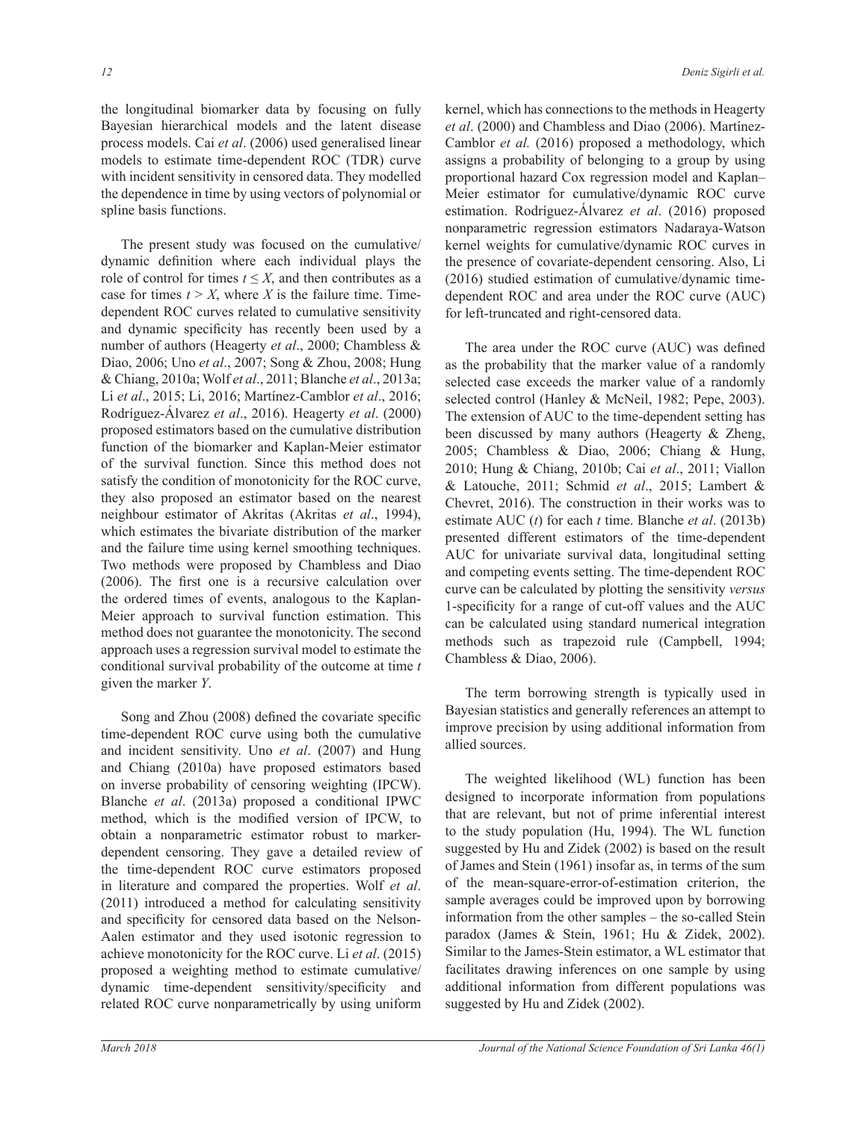the longitudinal biomarker data by focusing on fully Bayesian hierarchical models and the latent disease process models. Cai *et al*. (2006) used generalised linear models to estimate time-dependent ROC (TDR) curve with incident sensitivity in censored data. They modelled the dependence in time by using vectors of polynomial or spline basis functions.

 The present study was focused on the cumulative/ dynamic definition where each individual plays the role of control for times  $t \leq X$ , and then contributes as a case for times  $t > X$ , where *X* is the failure time. Timedependent ROC curves related to cumulative sensitivity and dynamic specificity has recently been used by a number of authors (Heagerty *et al*., 2000; Chambless & Diao, 2006; Uno *et al*., 2007; Song & Zhou, 2008; Hung & Chiang, 2010a; Wolf *et al*., 2011; Blanche *et al*., 2013a; Li *et al*., 2015; Li, 2016; Martínez-Camblor *et al*., 2016; Rodríguez-Álvarez *et al*., 2016). Heagerty *et al*. (2000) proposed estimators based on the cumulative distribution function of the biomarker and Kaplan-Meier estimator of the survival function. Since this method does not satisfy the condition of monotonicity for the ROC curve, they also proposed an estimator based on the nearest neighbour estimator of Akritas (Akritas *et al*., 1994), which estimates the bivariate distribution of the marker and the failure time using kernel smoothing techniques. Two methods were proposed by Chambless and Diao  $(2006)$ . The first one is a recursive calculation over the ordered times of events, analogous to the Kaplan-Meier approach to survival function estimation. This method does not guarantee the monotonicity. The second approach uses a regression survival model to estimate the conditional survival probability of the outcome at time *t* given the marker *Y*.

Song and Zhou (2008) defined the covariate specific time-dependent ROC curve using both the cumulative and incident sensitivity. Uno *et al*. (2007) and Hung and Chiang (2010a) have proposed estimators based on inverse probability of censoring weighting (IPCW). Blanche *et al*. (2013a) proposed a conditional IPWC method, which is the modified version of IPCW, to obtain a nonparametric estimator robust to markerdependent censoring. They gave a detailed review of the time-dependent ROC curve estimators proposed in literature and compared the properties. Wolf *et al*. (2011) introduced a method for calculating sensitivity and specificity for censored data based on the Nelson-Aalen estimator and they used isotonic regression to achieve monotonicity for the ROC curve. Li *et al*. (2015) proposed a weighting method to estimate cumulative/ dynamic time-dependent sensitivity/specificity and related ROC curve nonparametrically by using uniform

kernel, which has connections to the methods in Heagerty *et al*. (2000) and Chambless and Diao (2006). Martínez-Camblor *et al.* (2016) proposed a methodology, which assigns a probability of belonging to a group by using proportional hazard Cox regression model and Kaplan– Meier estimator for cumulative/dynamic ROC curve estimation. Rodríguez-Álvarez *et al*. (2016) proposed nonparametric regression estimators Nadaraya-Watson kernel weights for cumulative/dynamic ROC curves in the presence of covariate-dependent censoring. Also, Li (2016) studied estimation of cumulative/dynamic timedependent ROC and area under the ROC curve (AUC) for left-truncated and right-censored data.

The area under the ROC curve (AUC) was defined as the probability that the marker value of a randomly selected case exceeds the marker value of a randomly selected control (Hanley & McNeil, 1982; Pepe, 2003). The extension of AUC to the time-dependent setting has been discussed by many authors (Heagerty & Zheng, 2005; Chambless & Diao, 2006; Chiang & Hung, 2010; Hung & Chiang, 2010b; Cai *et al*., 2011; Viallon & Latouche, 2011; Schmid *et al*., 2015; Lambert & Chevret, 2016). The construction in their works was to estimate AUC (*t*) for each *t* time. Blanche *et al*. (2013b) presented different estimators of the time-dependent AUC for univariate survival data, longitudinal setting and competing events setting. The time-dependent ROC curve can be calculated by plotting the sensitivity *versus* 1-specificity for a range of cut-off values and the AUC can be calculated using standard numerical integration methods such as trapezoid rule (Campbell, 1994; Chambless & Diao, 2006).

 The term borrowing strength is typically used in Bayesian statistics and generally references an attempt to improve precision by using additional information from allied sources.

 The weighted likelihood (WL) function has been designed to incorporate information from populations that are relevant, but not of prime inferential interest to the study population (Hu, 1994). The WL function suggested by Hu and Zidek (2002) is based on the result of James and Stein (1961) insofar as, in terms of the sum of the mean-square-error-of-estimation criterion, the sample averages could be improved upon by borrowing information from the other samples – the so-called Stein paradox (James & Stein, 1961; Hu & Zidek, 2002). Similar to the James-Stein estimator, a WL estimator that facilitates drawing inferences on one sample by using additional information from different populations was suggested by Hu and Zidek (2002).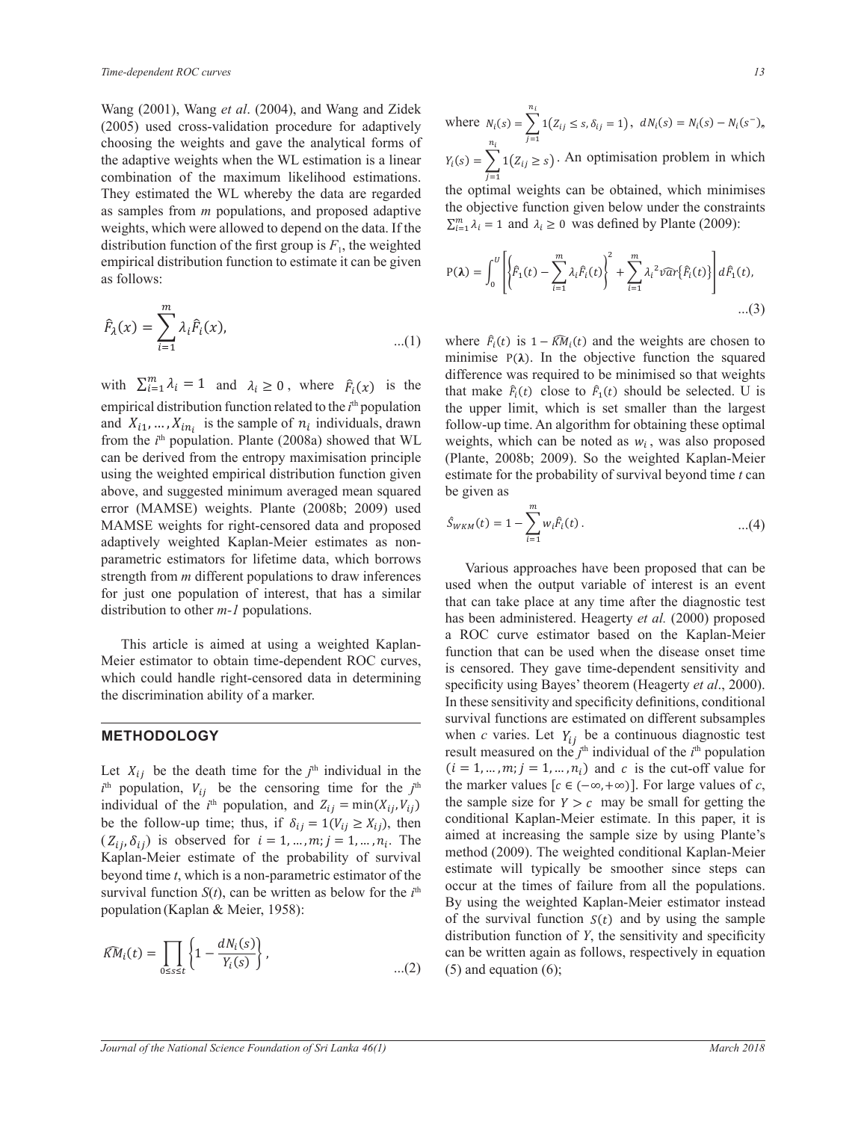Wang (2001), Wang et al. (2004), and Wang and Zidek (2005) used cross-validation procedure for adaptively (2005) used cross-vandation procedure for adaptively<br>choosing the weights and gave the analytical forms of the adaptive weights when the WL estimation is a linear combination of the maximum likelihood estimations. They estimated the WL whereby the data are regarded <sup>1</sup> as samples from *m* populations, and proposed adaptive weights, which were allowed to depend on the data. If the  $\Sigma_{i=1}^m$ distribution function of the first group is  $F_1$ , the weighted  $\frac{1}{2}$   $\frac{1}{2}$   $\frac{1}{2}$   $\frac{1}{2}$   $\frac{1}{2}$   $\frac{1}{2}$   $\frac{1}{2}$   $\frac{1}{2}$   $\frac{1}{2}$   $\frac{1}{2}$   $\frac{1}{2}$   $\frac{1}{2}$   $\frac{1}{2}$   $\frac{1}{2}$   $\frac{1}{2}$   $\frac{1}{2}$   $\frac{1}{2}$   $\frac{1}{2}$   $\frac{1}{2}$   $\frac{1}{2}$   $\frac{1}{2}$   $\frac{1}{2}$  as follows: and gave the analytical forms of<br>
en the WL estimation is a linear<br>
ximum likelihood estimations.<br>
whereby the data are regarded<br>
ulations, and proposed adaptive<br>
we to depend on the data. If the<br>  $\sum_{i=1}^{n_i} \lambda_i = 1$  and Edure for adaptively where  $N_i(s)$ .

$$
\hat{F}_{\lambda}(x) = \sum_{i=1}^{m} \lambda_i \hat{F}_i(x),
$$
\n...(1) where  $\hat{F}_i(t)$  is  $1 - \widehat{K}M_i(t)$  and the weights are chosen to  
\nminimise P( $\lambda$ ). In the objective function the squared

empirical distribution function related to the  $i^{\text{th}}$  population related to the *i*<sup>th</sup> population and  $X_{i_1}, \ldots, X_{i_{n_i}}$  is the sample of  $n_i$  individuals, drawn The contract text with the transportant text produced principle (traine, 20000, 2000). So the weighted empirical distribution function given adaptively weighted Kaplan-Meier estimates as non-<br>narametric estimators for lifetime data which borrows For just one population of interest, distribution to other *m-1* populations. for just one population of interest, that has a similar with  $\sum_{i=1}^{m} \lambda_i = 1$  and  $\lambda_i \geq 0$ , where  $\hat{F}_i(x)$  is the From the *t* population. Frame (2008a) showed that WE weights, which can be hoted as  $w_i$ , was<br>can be derived from the entropy maximisation principle (Plante, 2008b; 2009). So the weighted *Chois* (*MENDE)* weights. France (20000, 2009) ascenting the MAMSE weights for right-censored data and proposed  $\epsilon$  arror (MAMSE) weights. Plante (2008b; 2009) used parametric estimators for lifetime data, which borrows<br>strength from *m* different populations to draw inferences<br>used when the output variable parametric estimators for lifetime data, which borrows<br>strength from *m* different populations to draw inferences above, and suggested minimum averaged mean squared be given as from the  $i<sup>th</sup>$  population. Plante (2008a) showed that WL weights ା । ଏହା ପ୍ରାକ୍ତି କିଛି ବିଧାନ କରାଯାଏ ।<br>ବାସ୍ତା କିଛି ବିଧାନ କରାଯାଏ । ৈ  $\geq 0$ , where  $\hat{F}_i(x)$  is the  $(x)$  is the i<sup>th</sup> population

 $\mathcal{T}$ the discrimination ability of a marker. Id handle right-censored data in determining Meier estimator to obtain time-dependent ROC curves,<br>So eensored. The This article is aimed at using a weighted Kaplan-<br>Making attention to a be used when the property of the property of the property of the property of the property of the property of the property of the property of the prope which could handle right-censored data in determining is censored. They gave the which could handle right-censored data in determining  $\mathcal{L}$ 

 $\frac{1}{\sqrt{2}}$  ,  $\frac{1}{\sqrt{2}}$  ,  $\frac{1}{\sqrt{2}}$  ,  $\frac{1}{\sqrt{2}}$  ,  $\frac{1}{\sqrt{2}}$  ,  $\frac{1}{\sqrt{2}}$  ,  $\frac{1}{\sqrt{2}}$  ,  $\frac{1}{\sqrt{2}}$  ,  $\frac{1}{\sqrt{2}}$  ,  $\frac{1}{\sqrt{2}}$  ,  $\frac{1}{\sqrt{2}}$  ,  $\frac{1}{\sqrt{2}}$  ,  $\frac{1}{\sqrt{2}}$  ,  $\frac{1}{\sqrt{2}}$  ,  $\frac{1}{\sqrt{2}}$ 

Ξ

 $\overline{a}$ 

#### METHODOLOGY  $\frac{1}{\sqrt{1-\frac{1}{2}}\sqrt{1-\frac{1}{2}}\sqrt{1-\frac{1}{2}}\sqrt{1-\frac{1}{2}}\sqrt{1-\frac{1}{2}}\sqrt{1-\frac{1}{2}}\sqrt{1-\frac{1}{2}}\sqrt{1-\frac{1}{2}}\sqrt{1-\frac{1}{2}}\sqrt{1-\frac{1}{2}}\sqrt{1-\frac{1}{2}}\sqrt{1-\frac{1}{2}}\sqrt{1-\frac{1}{2}}\sqrt{1-\frac{1}{2}}\sqrt{1-\frac{1}{2}}\sqrt{1-\frac{1}{2}}\sqrt{1-\frac{1}{2}}\sqrt{1-\frac{1}{2}}\sqrt{1-\frac{1}{2}}\sqrt{1-\frac$ <mark>ŭ ŭ ŭ ŭ ŭ ŭ ŭ ŭ ŭ ŭ ŭ ŭ ŭ ŭ</mark><br>Dominista okazistano **METHODOLOGY** J.  $\blacksquare$   $\blacksquare$   $\blacksquare$   $\blacksquare$   $\blacksquare$   $\blacksquare$   $\blacksquare$   $\blacksquare$   $\blacksquare$   $\blacksquare$   $\blacksquare$   $\blacksquare$   $\blacksquare$   $\blacksquare$   $\blacksquare$   $\blacksquare$   $\blacksquare$   $\blacksquare$   $\blacksquare$   $\blacksquare$   $\blacksquare$   $\blacksquare$   $\blacksquare$   $\blacksquare$   $\blacksquare$   $\blacksquare$   $\blacksquare$   $\blacksquare$   $\blacksquare$   $\blacksquare$   $\blacksquare$   $\blacks$  $\overline{\phantom{a}}$   $\overline{\phantom{a}}$   $\overline{\phantom{a}}$   $\overline{\phantom{a}}$   $\overline{\phantom{a}}$   $\overline{\phantom{a}}$   $\overline{\phantom{a}}$   $\overline{\phantom{a}}$   $\overline{\phantom{a}}$   $\overline{\phantom{a}}$   $\overline{\phantom{a}}$   $\overline{\phantom{a}}$   $\overline{\phantom{a}}$   $\overline{\phantom{a}}$   $\overline{\phantom{a}}$   $\overline{\phantom{a}}$   $\overline{\phantom{a}}$   $\overline{\phantom{a}}$   $\overline{\$ ୀଵ

 $\overline{\phantom{a}}$ 

Ξ,

Let  $\lambda_{ij}$  be the death the for the *j* marvious in the  $\lambda_{ij}$  the marker values  $[c \in (-\infty, +\infty)]$ <br>*i*<sup>th</sup> population,  $V_{ij}$  be the censoring time for the *j*<sup>th</sup> the marker values  $[c \in (-\infty, +\infty)]$ beyond time  $t$ , which is a non-parametric estimator of the  $\left( \frac{\Delta_{ij}}{\Delta_{ij}}, \frac{\Delta_{ij}}{\Delta_{ij}} \right)$  To conserved for  $\ell = 1, \ldots, m, p$ beyond time *t*, which is a non-parametric estimator of the<br>survival function  $S(t)$ , can be written as below for the  $i^{th}$ <br>occur at the times of<br>By using the weight ι<br>Παραπομπές της συνθήκης<br>Παραπομπές της συνθήκης  $(Z_{ij}, \delta_{ij})$  is observed for  $i = 1, ..., m; j = 1, ..., n_i$ . The aimst Kaplan-Meier estimate of the probability of survival ime; thus, if  $\delta_{ij} = 1(V_{ij} \geq X)$ <u>(Figure of Figure</u>  $\tilde{a}$  ( The same of the  $i^m$  population, and  $\lambda_{ij} = \min(\lambda_{ij}, V_{ij})$ ୀଵ be the follow-up time; thus, if  $\delta_{ij} = 1(V_{ij} \ge X_{ij})$ , then<br> $(Z_i, \delta_j)$  is observed for  $i = 1$ ,  $m : i = 1$ ,  $n$ . The the i<sup>th</sup> nomination of the  $i^{\text{th}}$  population, and  $Z_{ij} = \min(X_i)$ survival function  $S(t)$ , can be written as below for the  $i<sup>m</sup>$  because at the survival population (Kaplan & Meier, 1958):<br>By using the weak of the survival is individual of the  $i^{\text{th}}$  population, and  $Z_{ij} = \min(X_{ij}, Y_{ij})$  the sample size for  $Y > c$  may be sm  $(Z_{ij}, \delta_{ij})$  is observed for  $i = 1, ..., m; j = 1, ..., n_i$ . The aimed at increasing the s ܼǡ ߜሻ ݅ ൌ ͳǡ ǥ ǡ ݉Ǣ ݆ ൌ ͳǡ ǥ ǡ ݊ Kaplan-Meier estimate of the probability of survival  $\frac{me}{\epsilon}$  ܯܭ  $\frac{1}{\sqrt{2}}$ beyond time *t*, which is a non-parametric estimator of the ݏ݂݁ܿ݅݅ܿ݅ݕݐሺܿǡ ݐሻ ൌ ܲሺܻ<sup>ଵ</sup> ܿȁܦ<sup>ଵ</sup>

$$
\widehat{KM}_i(t) = \prod_{0 \le s \le t} \left\{ 1 - \frac{dN_i(s)}{Y_i(s)} \right\},
$$
\ndistribution  
\ncan be written  
\n...(2) (5) and equa

Ī

 $\overline{a}$ 

ሺݐሻǤሺͶሻ

<mark>" ართი ართი ართი ართ</mark>

 $\overline{\phantom{a}}$ ିମ $\overline{\phantom{a}}$ ିମ $\overline{\phantom{a}}$ ିମ $\overline{\phantom{a}}$ ିମ $\overline{\phantom{a}}$ ିମ $\overline{\phantom{a}}$ ିମ $\overline{\phantom{a}}$ 

where  $N_i(s) = \sum_{j=1}^{n} 1(Z_{ij} \leq s, \delta_{ij} = 1)$  $n_i$  $j=1$  $N_i(s) = \sum_{i=1}^{n} 1(Z_{ij} \le s, \delta_{ij} = 1), \ dN_i(s) = N_i(s) - N_i(s^{-}),$  $n_{\tilde{t}}$  $j=1$  $=$   $\sum 1(Z_{ij} \leq s, \delta_{ij} = 1), dN_i(s) = N_i(s) - N_i(s^{-}),$  $\text{Par} \qquad Y_i(s) = \sum_i 1(Z_{ij} \geq s)$  $n_i$  $j=1$  $(a) = \sum 1(Z_{ij} \ge s)$ . An optimisation problem in which  $Y_i(s) = \sum_{i} 1(z_i \geq s)$ . An optimisation problem in which  $\mathbf{i}$  $=1$ timisation problem in which  $n_i$   $j=1$  $(7)$  $j=1$  $\geq 1(Z)$  $\mathcal{L}$  $n_i$   $\qquad$   $\qquad$   $\qquad$   $\qquad$   $\qquad$   $\qquad$   $\qquad$   $\qquad$   $\qquad$   $\qquad$   $\qquad$   $\qquad$   $\qquad$   $\qquad$   $\qquad$   $\qquad$   $\qquad$   $\qquad$   $\qquad$   $\qquad$   $\qquad$   $\qquad$   $\qquad$   $\qquad$   $\qquad$   $\qquad$   $\qquad$   $\qquad$   $\qquad$   $\qquad$   $\qquad$   $\qquad$   $\qquad$   $\qquad$   $\qquad$   $\qquad$   $\rightarrow$ is a linear  $Y_i(s) = \sum 1 \{Z_{ij} \ge s\}$ . An optimisation problem in which  $\frac{dX}{dX}$  is the contract  $\sum_{i=1}^{n} f(x_i, y_i) = \sum_{i=1}^{n} f(x_i, y_i)$ 

the optimal weights can be obtained, which minimises the objective function given below under the constraints  $\sum_{i=1}^{m} \lambda_i = 1$  and  $\lambda_i \geq 0$  was defined by Plante (2009):

$$
\text{ven} \qquad \text{P}(\lambda) = \int_0^U \left[ \left\{ \hat{F}_1(t) - \sum_{i=1}^m \lambda_i \hat{F}_i(t) \right\}^2 + \sum_{i=1}^m \lambda_i^2 \hat{var} \left\{ \hat{F}_i(t) \right\} \right] d\hat{F}_1(t), \tag{3}
$$

 $\frac{1}{\text{tau}}$  that make  $F_i(t)$  close to  $F_1(t)$  should be selected. U is pulation the upper limit, which is set smaller than the largest (x) is the that make  $\hat{F}_i(t)$  close to  $\hat{F}_1(t)$  should be selected. U is minimise  $P(\lambda)$ . In the objective function the squared is the squared in the squared in the squared in the squared in the squared in the squared in the squared in the squared in the squared in the squared in the squared i individuals, drawn follow-up time. An algorithm for obtaining these optimal and and difference was required to be minimised so that weights that make  $\hat{\mathbf{E}}(t)$  alone to  $\hat{\mathbf{E}}(t)$  should be selected. If is weights, which can be noted as  $w_i$ , was also proposed  $\mathbf{G}$  and  $\mathbf{G}$  and  $\mathbf{G}$  and  $\mathbf{G}$  and  $\mathbf{G}$  and  $\mathbf{G}$  and  $\mathbf{G}$  and  $\mathbf{G}$  and  $\mathbf{G}$  and  $\mathbf{G}$  and  $\mathbf{G}$  and  $\mathbf{G}$  and  $\mathbf{G}$  and  $\mathbf{G}$  and  $\mathbf{G}$  and  $\mathbf{G}$  and  $\mathbf{G}$  and ple (Plante, 2008b; 2009). So the weighted Kaplan-Meier estimate for the probability of survival beyond time *t* can be given as

$$
\hat{S}_{WKM}(t) = 1 - \sum_{i=1}^{m} w_i \hat{F}_i(t) \,. \tag{4}
$$

find can take place at any time arter are angulosite test<br>has been administered. Heagerty *et al.* (2000) proposed  $\frac{1}{\epsilon}$ m these sensitivity and specificity definitions, conditional<br>survival functions are estimated on different subsamples In ability of a marker.<br>
In these sensitivity and specificity definitions, conditional<br>
curvival functions are actimated on different subsemples Is censored. They gave time-dependent sensitivity and specificity using Bayes' theorem (Heagerty *et al.*, 2000).  $\frac{1}{\sqrt{1-\frac{1}{n}}\sqrt{1-\frac{1}{n}}\sqrt{1-\frac{1}{n}}\sqrt{1-\frac{1}{n}}$  when *c* varies. Let  $Y_{ij}$  be a continuous diagnostic test est our at the times of follows from all Exam be written again as follow<br>(2) (5) and equation (6); to draw interences<br>that has a similar used when the output variable of interest is an event  $\frac{d^2}{dx^2}$  a weighted Kaplan-<br>function that can be used when the disease onset time aimed at increasing the sample size by using Plante's anned at increasing the sample size by using 1 lantes<br>method (2009). The weighted conditional Kaplan-Meier of the surface rational random  $S(y)$  and  $y$  distribution function of *Y*, the sensitivity and specificity  $\frac{1}{2}$  is the survival function  $S(t)$  and by using the sample sample of the survival function  $S(t)$  and by using the sample Satur, which borrows<br>National Various approaches have been proposed that can be function that can be used when the disease onset time<br>is censored. They gave time-dependent sensitivity and a ROC curve estimator based on the Kaplan-Meier  $(\vec{r}, \vec{v}_{ij})$  are sumple size for  $\vec{r} > \vec{c}$  may be since for getting the conditional Kaplan-Meier estimate. In this paper, it is occur at the times of failure from all the populations. Fitten as below for the  $i<sup>th</sup>$  ovecan at the times of failure from an the populations.<br>  $\overline{58}$ : diate in the form interpretation in the term of the  $j^{\text{th}}$  the marker values  $[c \in (-\infty, +\infty)]$ . For large values of *c*,  $Y > c$  may be small for getting the  $\frac{d\theta}{dx}$ , can be written again as follows, respectively in equation Let  $X_{ij}$  be the death time for the  $j^{\text{th}}$  individual in the  $(i = 1, ..., m; j = 1, ..., n_i)$  and c is the cut-o  $j^{\text{th}}$  population.  $V$  be the conservance time for the  $j^{\text{th}}$  the marker values  $[c \in (-\infty, +\infty)]$  For large  $\frac{1}{11}$   $\frac{1}{11}$   $\frac{1}{11}$  $\mathcal{N}$   $\mathcal{N}$   $\mathcal{N}$   $\mathcal{N}$   $\mathcal{N}$   $\mathcal{N}$   $\mathcal{N}$   $\mathcal{N}$   $\mathcal{N}$   $\mathcal{N}$   $\mathcal{N}$   $\mathcal{N}$   $\mathcal{N}$   $\mathcal{N}$   $\mathcal{N}$   $\mathcal{N}$   $\mathcal{N}$   $\mathcal{N}$   $\mathcal{N}$   $\mathcal{N}$   $\mathcal{N}$   $\mathcal{N}$   $\mathcal{N}$   $\mathcal{N}$   $\mathcal{$ result measured on the  $j^{\text{th}}$  individual of the  $i^{\text{th}}$  population that can take place at any time after the diagnostic test  $\mathbf d$ and in the  $(i = 1, ..., m; j = 1, ..., n_i)$  and c is the cut-off value for  $V_{\text{th}}$  and  $V_{\text{th}}$  estimate will typically be smoother since steps can  $\frac{d}{d}$  $\mathcal{L}^{\text{max}}$ 

Ξ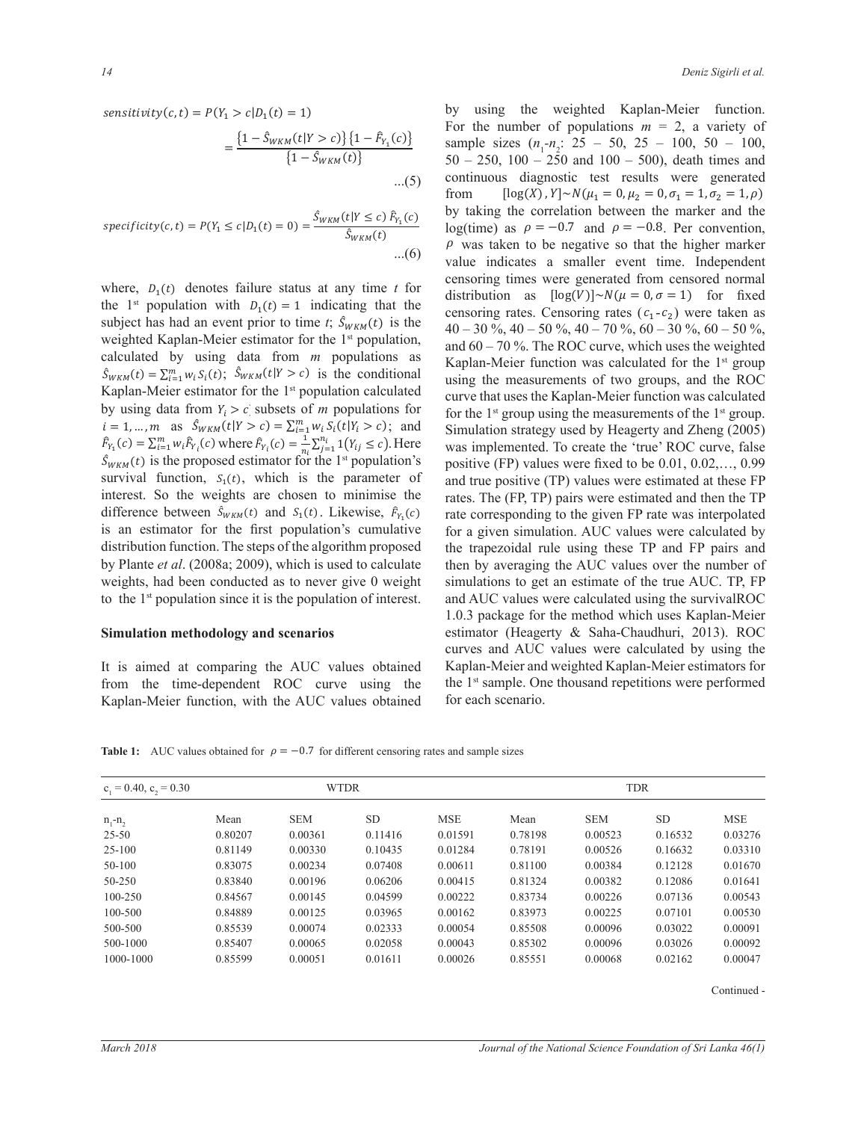sensitivity(c, t) =  $P(Y_1 > c | D_1(t) = 1)$  by using the weighted sensitivity(c, t) =  $P(Y_1 > c | D_1(t) = 1)$  for the number of populatio  $\Gamma$  $\dots(5)$   $\frac{9}{4}$  $=\frac{\{1-S_{WKM}(t|Y>c)\}\{1-F_{Y_1}(c)\}}{\{1-\hat{S}_{WKM}(t|Y>c)\}}$  $= \frac{(1 - \sigma_{WKM}(s_1, 1 - \sigma)) (1 - \sigma_{VKM}(s_2))}{\{1 - \hat{S}_{WKM}(t)\}}$  $...(5)$  $= \frac{(1 - 3W_{KM}(t) - 2C)(1 - 1Y_{1}(t))}{(1 - 3W_{KM}(t))}$  sample since  $\frac{1}{\sqrt{2}}$  $\mathcal{T}(\mathcal{T})$  $(2 - \nu_{W\Lambda}N_{V\Lambda})$  $(1 - \frac{1}{\sigma})$  ${1 - \hat{S}_{WKM}(t|Y > c)} \{1 - \hat{F}_{Y_{k}}(c)\}$  rot the number of populations and  ${1 - \hat{S}_{WKM}(t|Y > c)} \}$  $\cdots$ <sup>(2)</sup> fro ሺ݅ ൌ ͳǡ ǥ ǡ ݉Ǣ ݆ ൌ ͳǡ ǥ ǡ ݊ሻ ܿ א ሺെλǡ λሻ ܻ ܿ ܵሺݐሻ  $\{1 - \hat{S}_{WKM}(t)\}$   $50 - 250, 100 - 25$  $\{1 - \hat{S}_{WKM}(t|Y > c)\}\{1 - \hat{F}_{Y_1}(c)\}\$  $= \frac{(1 - 3WKM(t)T^2C)^{3}(1 - r_{Y_1}C)}{T^2}$ 

*specificity*(*c*, *t*) = 
$$
P(Y_1 \le c | D_1(t) = 0) = \frac{\hat{S}_{WKM}(t | Y \le c) \hat{F}_{Y_1}(c)}{\hat{S}_{WKM}(t)}
$$
 by taking  
log(time)  
 $\dots(6)$  by taking  
 $\rho$  was to  
value in

the 1<sup>st</sup> population with  $D_1(t) = 1$  indicating that the distribution as [log() the 1<sup>st</sup> population with  $D_1(t) = 1$  indicating that the censoring rates. Censor  $S_{WKM}(t) = \sum_{i=1}^{m} w_i S_i(t)$ ;  $S_{WKM}(t|Y > c)$  is the conditional using the measurement  $\alpha$   $\beta$   $\gamma$   $\beta$   $\gamma$  $i = 1, ..., m$  as  $S_{WKM}(t|Y > c) = \sum_{i=1}^{m} w_i S_i(t|Y_i > c)$ ; and Sir  $S_{WKM}(t)$  is the proposed estimator for the 1<sup>st</sup> population's positive (FP) values survival function,  $S_1(t)$ , which is the parameter of and true positive (TP) va difference between  $\hat{S}_{WKM}(t)$  and  $S_1(t)$ . Likewise,  $\hat{F}_{Y_1}(c)$  rate corresponding to the given by Plante *et al.* (2008a; 2009), which is used to calculate then by averaging the AUC where,  $D_1(t)$  denotes failure status at any time t for<br>distribution as  $\left[\log(V)\right] \sim N(\mu = 0,$ ሺݐሻ weighted Kaplan-Meier estimator for the 1<sup>st</sup> population,<br>and 60 – 70 %. The ROC cu andioi<br>.  $\mathbb{R}$ Explain-victor estimator for the 1 population calculated<br>by using data from  $Y_i > c$  subsets of *m* populations for the 1<sup>st</sup> gr Kaplan-Meier estimator for the 1<sup>st</sup> population calculated  $\frac{1}{2}$  curve the continuous data from K<sub>1</sub> to the leader of a properties from  $\frac{1}{2}$ survival function,  $S_1(t)$ , which is the parameter of and and interest. So the weights are chosen to minimise the rates πο από σε πίση που που προσφαλείσει σε συμβάτιση σε σε πια παίνα για τον που τον προσφαλείον σε πια φαγίσει στ<br>distribution function. The steps of the algorithm proposed the trapezoidal rul to the 1<sup>st</sup> population since it is the population of in  $r_{Y_1}(c) - \sum_{i=1}^{\infty} w_i r_{Y_i}(c)$  where  $r_{Y_i}(c) = \frac{1}{n_i} \sum_{j=1}^{\infty} 1$  ( $r_{ij} \le c$ ). Here is an estimator for the first population's cumulative for a given simulation. AUC by France *et al.* (2006a, 2009), which is used to calculate the dividend weights, had been conducted as to never give 0 weight simulations to get an e  $\frac{1}{3}$  may be a concluded as to never give  $\sigma$  weight simulation. calculated by using data from m populations as Kaplan-Meier functional subject has had an event prior to time *t*;  $S_{WKM}(t)$  is the  $40 - 30\%$ ,  $40 - 50\%$ ,  $40 - 50\%$  $F_{Y_1}(c) = \sum_{i=1}^m w_i \hat{F}_{Y_i}(c)$  where  $\hat{F}_{Y_i}(c) = \frac{1}{n_i} \sum_{j=1}^n 1(Y_{ij} \le c)$ . Here was implement భ distribution function. The steps of the algorithm proposed the trapezoidal rule u specificity(c, t) = P(Y<br>where,  $D_1(t)$  denot<br>the 1<sup>st</sup> population<br>subject has had an e<br>weighted Kaplan-M<br>calculated by usin<br> $S_{WKM}(t) = \sum_{i=1}^{m} w_i S_i(t)$ <br>Kaplan-Meier estims<br>by using data from  $\ddot{t}$  $S_{WKM}(t)$  is the proposed estimator for the 1 population s potentially possible survival function,  $S_1(t)$ , which is the parameter of and difference between  $\hat{S}_{WKM}(t)$  and  $S_1(t)$ . Likewise,  $\hat{F}_{Y_1}(c)$  rate corresponding to the given F ሺܿሻ  $\alpha$  The T population since it is the population of interest. and AUC values we J,  $f(x) = \frac{r_1 - r_2}{r_1}$  was himpton was himpton was himpton was himpton was himpton. to the 1<sup>st</sup> population since it is the population of interest. and AUC values timator for the 1<sup>st</sup> population's was improved.  $\frac{1}{2}$  рориганоны тог

#### $\blacksquare$ **Simulation methodology and scenarios** estimator (He ሾሺܸሻሿ̱ܰሺߤ ൌ Ͳǡ ߪ ൌ ͳሻ ܿ<sup>ଵ</sup> ܿ<sup>ଶ</sup> ݊<sup>ଵ</sup> ൌ ͳͲͲ ݊<sup>ଶ</sup> ൌ ʹͷͲ ߩ<sup>ଵ</sup> ൌ െͲǤ  $\alpha$  $\alpha$   $\alpha$   $\alpha$   $\alpha$   $\alpha$   $\alpha$   $\alpha$   $\alpha$

 $\overline{a}$ It is aimed at comparing the AUC values obtained Kapl Home the time dependent Roce carve dange the from the time-dependent ROC curve using the  $\mathbf{F} = \mathbf{F} \mathbf{F} \mathbf{F}$ 

by using the weight from  $[\log(X), Y] \sim N(\mu_1 = 0, \mu_2 = 0, \sigma_1 = 1, \sigma_2 = 1, \rho)$  $\ddot{\phantom{a}}$ value indicates a smaller event time. Independent censoring rates. Censoring rates  $(c_1-c_2)$  were taken as (b) For the number of populations  $m - 2$ , a variety of sample sizes  $(n_1 - n_2)$ ;  $25 - 50$ ,  $25 - 100$ ,  $50 - 100$ ,  $50 - 100$  $\frac{Y \leq c}{Y}$   $\frac{F_{Y_1}(c)}{Y}$  by along the constant of  $\frac{C_1}{Y_1}(c)$  $\frac{1}{20}$  – 30 %, 40 – 30 %, 40 – 70 %, 60 – 30 %, 60 – 30 %, 60 – 30 %, and 60 – 70 %. The ROC curve, which uses the weighted  $\frac{1}{250-250}$ ,  $\frac{1}{250-250}$ ,  $\frac{1}{250}$  and  $\frac{1}{250}$  and  $\frac{1}{250}$ , death times and value indicates a sinality event time. Independent<br>censoring times were generated from censored normal distribution as  $[\log(V)] \sim N(\mu = 0, \sigma = 1)$  for fixed 1 calculated curve that uses the Kaplan-Meier function was calculated  $\gamma$ <sup>s</sup> positive (FP) values were fixed to be 0.01, 0.02,..., 0.99  $t = P(Y_1 > c | D_1(t) = 1)$  by using the weighted Kaplan-Meier function.  $(5)$  continuous diagnostic test result  $S_{WKM}(t)$   $\qquad \qquad \rho$  was taken to be negative so that the higher marker unction was cale  $\frac{1}{\pi}$  and  $\frac{1}{\pi}$  step that uses the Kaplan–Meter ranction was calculated<br>can for the 1<sup>st</sup> group using the measurements of the 1<sup>st</sup> group. and true positive (TP) values were estimated at these FP 1.0.3 package for the method which uses Kaplan-Meier  $\ldots$ ( $\circ$ ) from  $(-30\%, 40 - 50\%, 40)$  $\kappa$ артап-метет типетон was careurated for the T group rates. The (FP, TP) pairs were estimated and then the TP  $f(x)(t|Y \le c) \hat{F}_{Y_1}(c)$  by taking the correlation between the marker and the  $40 - 30\%$ ,  $40 - 50\%$ ,  $40 - 70\%$ ,  $60 - 30\%$ ,  $60 - 50\%$ , nd Simulation strategy used by Heagerty and Zheng (2005) tained Kaplan-Meier and weighted Kaplan-Meier estimators for  $(5)$  continuous diagnostic test results were generated  $\frac{Y \leq c}{W_M(t)}$  log(time) as  $\rho = -0.7$ , , , o , o. 1.<br>n-Meier fu  $P(Y_1 \le c|D_1(t) = 0) = \frac{S_{WKM}(t)T \le cJ F_{Y_1}(c)}{\hat{S}_{WKM}(t)}$  log(time) as  $\rho = -0.7$  and  $\rho = -0.8$ . Per convention,  $(c)$  rate corresponding to the given FP rate was interpolated For the number of populations  $m = 2$ , a variety of  $Kaplan-Meier function was calculated for the 1<sup>st</sup> group$ ܵଵሺݐሻ ܵመௐெሺݐሻ ܵଵሺݐሻ ܨ  $\frac{1}{2}$  $\frac{f(2 + P_{t_1}(0))}{f(t)}$  sample sizes (*t*) was implemented. To create the 'true' ROC curve, false for a given simulation. AUC values were calculated by the trapezoidal rule using these TP and FP pairs and then by averaging the AUC values over the number of simulations to get an estimate of the true AUC. TP, FP and AUC values were calculated using the survivalROC estimator (Heagerty & Saha-Chaudhuri, 2013). ROC curves and AUC values were calculated by using the the 1st sample. One thousand repetitions were performed for each scenario.

**Table 1:** AUC values obtained for  $\rho = -0.7$  for different censoring rates and sample sizes

| $c_1 = 0.40$ , $c_2 = 0.30$ |         | <b>WTDR</b> |           |            | <b>TDR</b> |            |           |            |
|-----------------------------|---------|-------------|-----------|------------|------------|------------|-----------|------------|
| $n, -n,$                    | Mean    | <b>SEM</b>  | <b>SD</b> | <b>MSE</b> | Mean       | <b>SEM</b> | <b>SD</b> | <b>MSE</b> |
| $25 - 50$                   | 0.80207 | 0.00361     | 0.11416   | 0.01591    | 0.78198    | 0.00523    | 0.16532   | 0.03276    |
| $25 - 100$                  | 0.81149 | 0.00330     | 0.10435   | 0.01284    | 0.78191    | 0.00526    | 0.16632   | 0.03310    |
| 50-100                      | 0.83075 | 0.00234     | 0.07408   | 0.00611    | 0.81100    | 0.00384    | 0.12128   | 0.01670    |
| 50-250                      | 0.83840 | 0.00196     | 0.06206   | 0.00415    | 0.81324    | 0.00382    | 0.12086   | 0.01641    |
| $100 - 250$                 | 0.84567 | 0.00145     | 0.04599   | 0.00222    | 0.83734    | 0.00226    | 0.07136   | 0.00543    |
| 100-500                     | 0.84889 | 0.00125     | 0.03965   | 0.00162    | 0.83973    | 0.00225    | 0.07101   | 0.00530    |
| 500-500                     | 0.85539 | 0.00074     | 0.02333   | 0.00054    | 0.85508    | 0.00096    | 0.03022   | 0.00091    |
| 500-1000                    | 0.85407 | 0.00065     | 0.02058   | 0.00043    | 0.85302    | 0.00096    | 0.03026   | 0.00092    |
| 1000-1000                   | 0.85599 | 0.00051     | 0.01611   | 0.00026    | 0.85551    | 0.00068    | 0.02162   | 0.00047    |

Continued -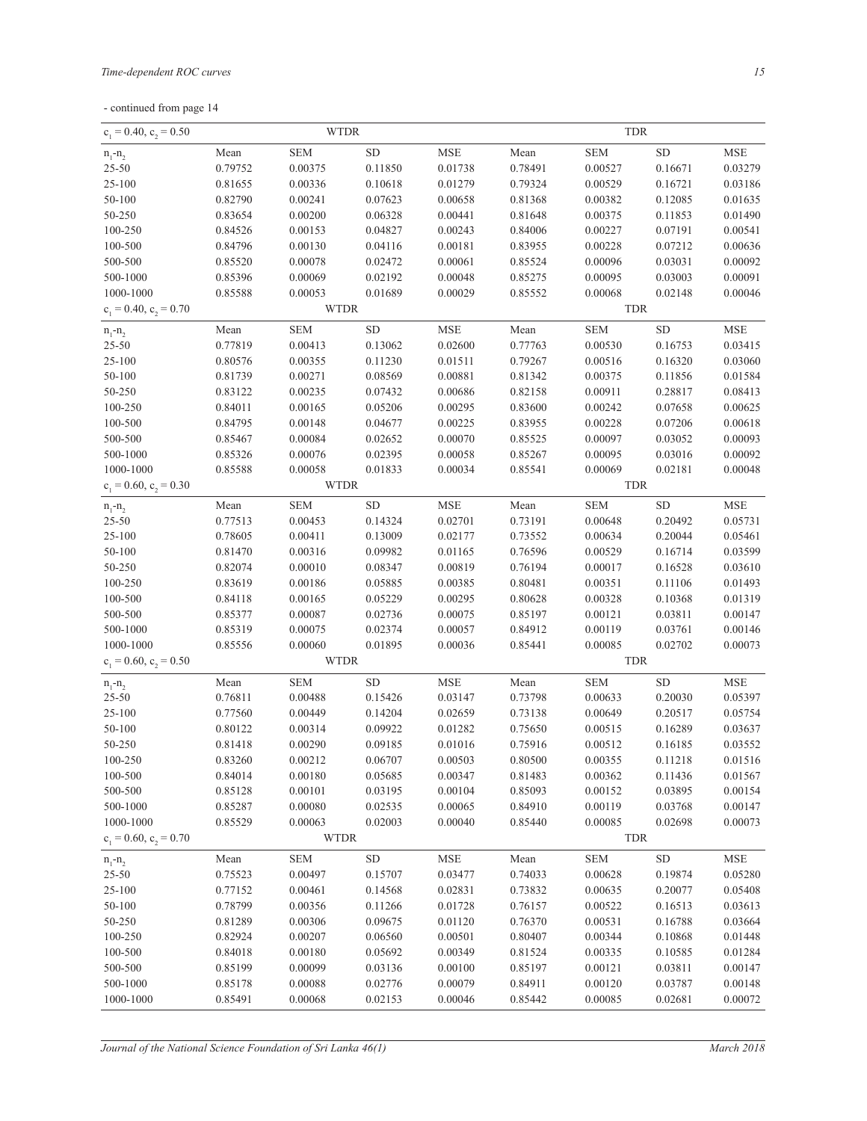|  | - continued from page 14 |  |  |  |
|--|--------------------------|--|--|--|
|--|--------------------------|--|--|--|

| $c_1 = 0.40, c_2 = 0.50$    | <b>WTDR</b> |             |            |                      | <b>TDR</b> |            |            |                      |
|-----------------------------|-------------|-------------|------------|----------------------|------------|------------|------------|----------------------|
| $n_1 - n_2$                 | Mean        | <b>SEM</b>  | ${\rm SD}$ | <b>MSE</b>           | Mean       | <b>SEM</b> | ${\rm SD}$ | <b>MSE</b>           |
| $25 - 50$                   | 0.79752     | 0.00375     | 0.11850    | 0.01738              | 0.78491    | 0.00527    | 0.16671    | 0.03279              |
| $25 - 100$                  | 0.81655     | 0.00336     | 0.10618    | 0.01279              | 0.79324    | 0.00529    | 0.16721    | 0.03186              |
| 50-100                      | 0.82790     | 0.00241     | 0.07623    | 0.00658              | 0.81368    | 0.00382    | 0.12085    | 0.01635              |
| 50-250                      | 0.83654     | 0.00200     | 0.06328    | 0.00441              | 0.81648    | 0.00375    | 0.11853    | 0.01490              |
| 100-250                     | 0.84526     | 0.00153     | 0.04827    | 0.00243              | 0.84006    | 0.00227    | 0.07191    | 0.00541              |
| 100-500                     | 0.84796     | 0.00130     | 0.04116    | 0.00181              | 0.83955    | 0.00228    | 0.07212    | 0.00636              |
| 500-500                     | 0.85520     | 0.00078     | 0.02472    | 0.00061              | 0.85524    | 0.00096    | 0.03031    | 0.00092              |
| 500-1000                    | 0.85396     | 0.00069     | 0.02192    | 0.00048              | 0.85275    | 0.00095    | 0.03003    | 0.00091              |
| 1000-1000                   | 0.85588     | 0.00053     | 0.01689    | 0.00029              | 0.85552    | 0.00068    | 0.02148    | 0.00046              |
| $c_1 = 0.40$ , $c_2 = 0.70$ |             | <b>WTDR</b> |            |                      |            | <b>TDR</b> |            |                      |
| $n_1 - n_2$                 | Mean        | <b>SEM</b>  | ${\rm SD}$ | $\operatorname{MSE}$ | Mean       | <b>SEM</b> | ${\rm SD}$ | <b>MSE</b>           |
| $25 - 50$                   | 0.77819     | 0.00413     | 0.13062    | 0.02600              | 0.77763    | 0.00530    | 0.16753    | 0.03415              |
| $25 - 100$                  | 0.80576     | 0.00355     | 0.11230    | 0.01511              | 0.79267    | 0.00516    | 0.16320    | 0.03060              |
| 50-100                      | 0.81739     | 0.00271     | 0.08569    | 0.00881              | 0.81342    | 0.00375    | 0.11856    | 0.01584              |
| 50-250                      | 0.83122     | 0.00235     | 0.07432    | 0.00686              | 0.82158    | 0.00911    | 0.28817    | 0.08413              |
| 100-250                     | 0.84011     | 0.00165     | 0.05206    | 0.00295              | 0.83600    | 0.00242    | 0.07658    | 0.00625              |
| 100-500                     | 0.84795     | 0.00148     | 0.04677    | 0.00225              | 0.83955    | 0.00228    | 0.07206    | 0.00618              |
| 500-500                     | 0.85467     | 0.00084     | 0.02652    | 0.00070              | 0.85525    | 0.00097    | 0.03052    | 0.00093              |
| 500-1000                    | 0.85326     | 0.00076     | 0.02395    | 0.00058              | 0.85267    | 0.00095    | 0.03016    | 0.00092              |
| 1000-1000                   | 0.85588     | 0.00058     | 0.01833    | 0.00034              | 0.85541    | 0.00069    | 0.02181    | 0.00048              |
| $c_1 = 0.60, c_2 = 0.30$    |             | <b>WTDR</b> |            |                      |            | <b>TDR</b> |            |                      |
| $n_1 - n_2$                 | Mean        | <b>SEM</b>  | ${\rm SD}$ | $\operatorname{MSE}$ | Mean       | <b>SEM</b> | ${\rm SD}$ | $\operatorname{MSE}$ |
| $25 - 50$                   | 0.77513     | 0.00453     | 0.14324    | 0.02701              | 0.73191    | 0.00648    | 0.20492    | 0.05731              |
| $25 - 100$                  | 0.78605     | 0.00411     | 0.13009    | 0.02177              | 0.73552    | 0.00634    | 0.20044    | 0.05461              |
| 50-100                      | 0.81470     | 0.00316     | 0.09982    | 0.01165              | 0.76596    | 0.00529    | 0.16714    | 0.03599              |
| 50-250                      | 0.82074     | 0.00010     | 0.08347    | 0.00819              | 0.76194    | 0.00017    | 0.16528    | 0.03610              |
| 100-250                     | 0.83619     | 0.00186     | 0.05885    | 0.00385              | 0.80481    | 0.00351    | 0.11106    | 0.01493              |
| 100-500                     | 0.84118     | 0.00165     | 0.05229    | 0.00295              | 0.80628    | 0.00328    | 0.10368    | 0.01319              |
| 500-500                     | 0.85377     | 0.00087     | 0.02736    | 0.00075              | 0.85197    | 0.00121    | 0.03811    | 0.00147              |
| 500-1000                    | 0.85319     | 0.00075     | 0.02374    | 0.00057              | 0.84912    | 0.00119    | 0.03761    | 0.00146              |
| 1000-1000                   | 0.85556     | 0.00060     | 0.01895    | 0.00036              | 0.85441    | 0.00085    | 0.02702    | 0.00073              |
| $c_1 = 0.60$ , $c_2 = 0.50$ |             | <b>WTDR</b> |            |                      |            | <b>TDR</b> |            |                      |
| $n_1 - n_2$                 | Mean        | <b>SEM</b>  | ${\rm SD}$ | $\operatorname{MSE}$ | Mean       | <b>SEM</b> | ${\rm SD}$ | <b>MSE</b>           |
| $25 - 50$                   | 0.76811     | 0.00488     | 0.15426    | 0.03147              | 0.73798    | 0.00633    | 0.20030    | 0.05397              |
| $25 - 100$                  | 0.77560     | 0.00449     | 0.14204    | 0.02659              | 0.73138    | 0.00649    | 0.20517    | 0.05754              |
| 50-100                      | 0.80122     | 0.00314     | 0.09922    | 0.01282              | 0.75650    | 0.00515    | 0.16289    | 0.03637              |
| 50-250                      | 0.81418     | 0.00290     | 0.09185    | 0.01016              | 0.75916    | 0.00512    | 0.16185    | 0.03552              |
| 100-250                     | 0.83260     | 0.00212     | 0.06707    | 0.00503              | 0.80500    | 0.00355    | 0.11218    | 0.01516              |
| 100-500                     | 0.84014     | 0.00180     | 0.05685    | 0.00347              | 0.81483    | 0.00362    | 0.11436    | 0.01567              |
| 500-500                     | 0.85128     | 0.00101     | 0.03195    | 0.00104              | 0.85093    | 0.00152    | 0.03895    | 0.00154              |
| 500-1000                    | 0.85287     | 0.00080     | 0.02535    | 0.00065              | 0.84910    | 0.00119    | 0.03768    | 0.00147              |
| 1000-1000                   | 0.85529     | 0.00063     | 0.02003    | 0.00040              | 0.85440    | 0.00085    | 0.02698    | 0.00073              |
| $c_1 = 0.60$ , $c_2 = 0.70$ |             | <b>WTDR</b> |            |                      |            | <b>TDR</b> |            |                      |
| $n_1 - n_2$                 | Mean        | <b>SEM</b>  | ${\rm SD}$ | ${\rm MSE}$          | Mean       | <b>SEM</b> | ${\rm SD}$ | <b>MSE</b>           |
| $25 - 50$                   | 0.75523     | 0.00497     | 0.15707    | 0.03477              | 0.74033    | 0.00628    | 0.19874    | 0.05280              |
| $25 - 100$                  | 0.77152     | 0.00461     | 0.14568    | 0.02831              | 0.73832    | 0.00635    | 0.20077    | 0.05408              |
| 50-100                      | 0.78799     | 0.00356     | 0.11266    | 0.01728              | 0.76157    | 0.00522    | 0.16513    | 0.03613              |
| 50-250                      | 0.81289     | 0.00306     | 0.09675    | 0.01120              | 0.76370    | 0.00531    | 0.16788    | 0.03664              |
| 100-250                     | 0.82924     | 0.00207     | 0.06560    | 0.00501              | 0.80407    | 0.00344    | 0.10868    | 0.01448              |
| 100-500                     | 0.84018     | 0.00180     | 0.05692    | 0.00349              | 0.81524    | 0.00335    | 0.10585    | 0.01284              |
| 500-500                     | 0.85199     | 0.00099     | 0.03136    | 0.00100              | 0.85197    | 0.00121    | 0.03811    | 0.00147              |
| 500-1000                    | 0.85178     | 0.00088     | 0.02776    | 0.00079              | 0.84911    | 0.00120    | 0.03787    | 0.00148              |
| 1000-1000                   | 0.85491     | 0.00068     | 0.02153    | 0.00046              | 0.85442    | 0.00085    | 0.02681    | 0.00072              |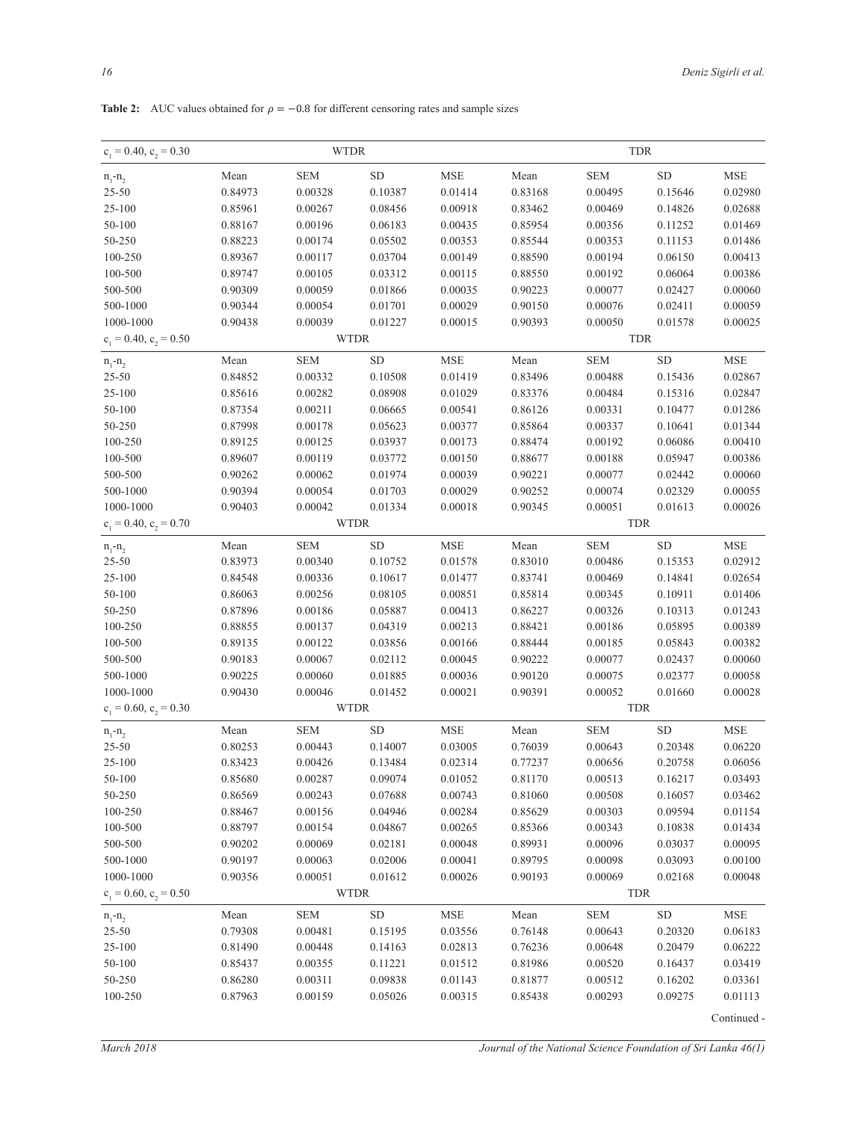| $c_1 = 0.40$ , $c_2 = 0.30$<br><b>WTDR</b> |         |             | <b>TDR</b>  |                      |         |                |            |                      |
|--------------------------------------------|---------|-------------|-------------|----------------------|---------|----------------|------------|----------------------|
| $n_1 - n_2$                                | Mean    | ${\bf SEM}$ | ${\rm SD}$  | $\operatorname{MSE}$ | Mean    | ${\hbox{SEM}}$ | ${\rm SD}$ | <b>MSE</b>           |
| $25 - 50$                                  | 0.84973 | 0.00328     | 0.10387     | 0.01414              | 0.83168 | 0.00495        | 0.15646    | 0.02980              |
| 25-100                                     | 0.85961 | 0.00267     | 0.08456     | 0.00918              | 0.83462 | 0.00469        | 0.14826    | 0.02688              |
| 50-100                                     | 0.88167 | 0.00196     | 0.06183     | 0.00435              | 0.85954 | 0.00356        | 0.11252    | 0.01469              |
| 50-250                                     | 0.88223 | 0.00174     | 0.05502     | 0.00353              | 0.85544 | 0.00353        | 0.11153    | 0.01486              |
| 100-250                                    | 0.89367 | 0.00117     | 0.03704     | 0.00149              | 0.88590 | 0.00194        | 0.06150    | 0.00413              |
| 100-500                                    | 0.89747 | 0.00105     | 0.03312     | 0.00115              | 0.88550 | 0.00192        | 0.06064    | 0.00386              |
| 500-500                                    | 0.90309 | 0.00059     | 0.01866     | 0.00035              | 0.90223 | 0.00077        | 0.02427    | 0.00060              |
| 500-1000                                   | 0.90344 | 0.00054     | 0.01701     | 0.00029              | 0.90150 | 0.00076        | 0.02411    | 0.00059              |
| 1000-1000                                  | 0.90438 | 0.00039     | 0.01227     | 0.00015              | 0.90393 | 0.00050        | 0.01578    | 0.00025              |
| $c_1 = 0.40$ , $c_2 = 0.50$                |         |             | <b>WTDR</b> |                      |         |                | <b>TDR</b> |                      |
| $n_1 - n_2$                                | Mean    | <b>SEM</b>  | ${\rm SD}$  | $\operatorname{MSE}$ | Mean    | <b>SEM</b>     | ${\rm SD}$ | $\operatorname{MSE}$ |
| $25 - 50$                                  | 0.84852 | 0.00332     | 0.10508     | 0.01419              | 0.83496 | 0.00488        | 0.15436    | 0.02867              |
| 25-100                                     | 0.85616 | 0.00282     | 0.08908     | 0.01029              | 0.83376 | 0.00484        | 0.15316    | 0.02847              |
| 50-100                                     | 0.87354 | 0.00211     | 0.06665     | 0.00541              | 0.86126 | 0.00331        | 0.10477    | 0.01286              |
| 50-250                                     | 0.87998 | 0.00178     | 0.05623     | 0.00377              | 0.85864 | 0.00337        | 0.10641    | 0.01344              |
| 100-250                                    | 0.89125 | 0.00125     | 0.03937     | 0.00173              | 0.88474 | 0.00192        | 0.06086    | 0.00410              |
| 100-500                                    | 0.89607 | 0.00119     | 0.03772     | 0.00150              | 0.88677 | 0.00188        | 0.05947    | 0.00386              |
| 500-500                                    | 0.90262 | 0.00062     | 0.01974     | 0.00039              | 0.90221 | 0.00077        | 0.02442    | 0.00060              |
| 500-1000                                   | 0.90394 | 0.00054     | 0.01703     | 0.00029              | 0.90252 | 0.00074        | 0.02329    | 0.00055              |
| 1000-1000                                  | 0.90403 | 0.00042     | 0.01334     | 0.00018              | 0.90345 | 0.00051        | 0.01613    | 0.00026              |
| $c_1 = 0.40, c_2 = 0.70$                   |         |             | <b>WTDR</b> |                      |         | <b>TDR</b>     |            |                      |
| $n_1 - n_2$                                | Mean    | <b>SEM</b>  | ${\rm SD}$  | $\operatorname{MSE}$ | Mean    | <b>SEM</b>     | ${\rm SD}$ | <b>MSE</b>           |
| $25 - 50$                                  | 0.83973 | 0.00340     | 0.10752     | 0.01578              | 0.83010 | 0.00486        | 0.15353    | 0.02912              |
| 25-100                                     | 0.84548 | 0.00336     | 0.10617     | 0.01477              | 0.83741 | 0.00469        | 0.14841    | 0.02654              |
| $50 - 100$                                 | 0.86063 | 0.00256     | 0.08105     | 0.00851              | 0.85814 | 0.00345        | 0.10911    | 0.01406              |
| 50-250                                     | 0.87896 | 0.00186     | 0.05887     | 0.00413              | 0.86227 | 0.00326        | 0.10313    | 0.01243              |
| 100-250                                    | 0.88855 | 0.00137     | 0.04319     | 0.00213              | 0.88421 | 0.00186        | 0.05895    | 0.00389              |
| 100-500                                    | 0.89135 | 0.00122     | 0.03856     | 0.00166              | 0.88444 | 0.00185        | 0.05843    | 0.00382              |
| 500-500                                    | 0.90183 | 0.00067     | 0.02112     | 0.00045              | 0.90222 | 0.00077        | 0.02437    | 0.00060              |
| 500-1000                                   | 0.90225 | 0.00060     | 0.01885     | 0.00036              | 0.90120 | 0.00075        | 0.02377    | 0.00058              |
| 1000-1000                                  | 0.90430 | 0.00046     | 0.01452     | 0.00021              | 0.90391 | 0.00052        | 0.01660    | 0.00028              |
| $c_1 = 0.60, c_2 = 0.30$                   |         |             | <b>WTDR</b> |                      |         | <b>TDR</b>     |            |                      |
| $n_1 - n_2$                                | Mean    | <b>SEM</b>  | ${\rm SD}$  | <b>MSE</b>           | Mean    | <b>SEM</b>     | ${\rm SD}$ | <b>MSE</b>           |
| $25 - 50$                                  | 0.80253 | 0.00443     | 0.14007     | 0.03005              | 0.76039 | 0.00643        | 0.20348    | 0.06220              |
| $25 - 100$                                 | 0.83423 | 0.00426     | 0.13484     | 0.02314              | 0.77237 | 0.00656        | 0.20758    | 0.06056              |
| 50-100                                     | 0.85680 | 0.00287     | 0.09074     | 0.01052              | 0.81170 | 0.00513        | 0.16217    | 0.03493              |
| 50-250                                     | 0.86569 | 0.00243     | 0.07688     | 0.00743              | 0.81060 | 0.00508        | 0.16057    | 0.03462              |
| $100 - 250$                                | 0.88467 | 0.00156     | 0.04946     | 0.00284              | 0.85629 | 0.00303        | 0.09594    | 0.01154              |
| 100-500                                    | 0.88797 | 0.00154     | 0.04867     | 0.00265              | 0.85366 | 0.00343        | 0.10838    | 0.01434              |
| 500-500                                    | 0.90202 | 0.00069     | 0.02181     | 0.00048              | 0.89931 | 0.00096        | 0.03037    | 0.00095              |
| 500-1000                                   | 0.90197 | 0.00063     | 0.02006     | 0.00041              | 0.89795 | 0.00098        | 0.03093    | 0.00100              |
| 1000-1000                                  | 0.90356 | 0.00051     | 0.01612     | 0.00026              | 0.90193 | 0.00069        | 0.02168    | 0.00048              |
| $c_1 = 0.60$ , $c_2 = 0.50$                |         |             | <b>WTDR</b> |                      |         |                | TDR        |                      |
| $n_1 - n_2$                                | Mean    | <b>SEM</b>  | ${\rm SD}$  | $\operatorname{MSE}$ | Mean    | <b>SEM</b>     | ${\rm SD}$ | <b>MSE</b>           |
| $25 - 50$                                  | 0.79308 | 0.00481     | 0.15195     | 0.03556              | 0.76148 | 0.00643        | 0.20320    | 0.06183              |
| $25 - 100$                                 | 0.81490 | 0.00448     | 0.14163     | 0.02813              | 0.76236 | 0.00648        | 0.20479    | 0.06222              |
| $50 - 100$                                 | 0.85437 | 0.00355     | 0.11221     | 0.01512              | 0.81986 | 0.00520        | 0.16437    | 0.03419              |
| 50-250                                     | 0.86280 | 0.00311     | 0.09838     | 0.01143              | 0.81877 | 0.00512        | 0.16202    | 0.03361              |
| 100-250                                    | 0.87963 | 0.00159     | 0.05026     | 0.00315              | 0.85438 | 0.00293        | 0.09275    | 0.01113              |
|                                            |         |             |             |                      |         |                |            |                      |

Continued -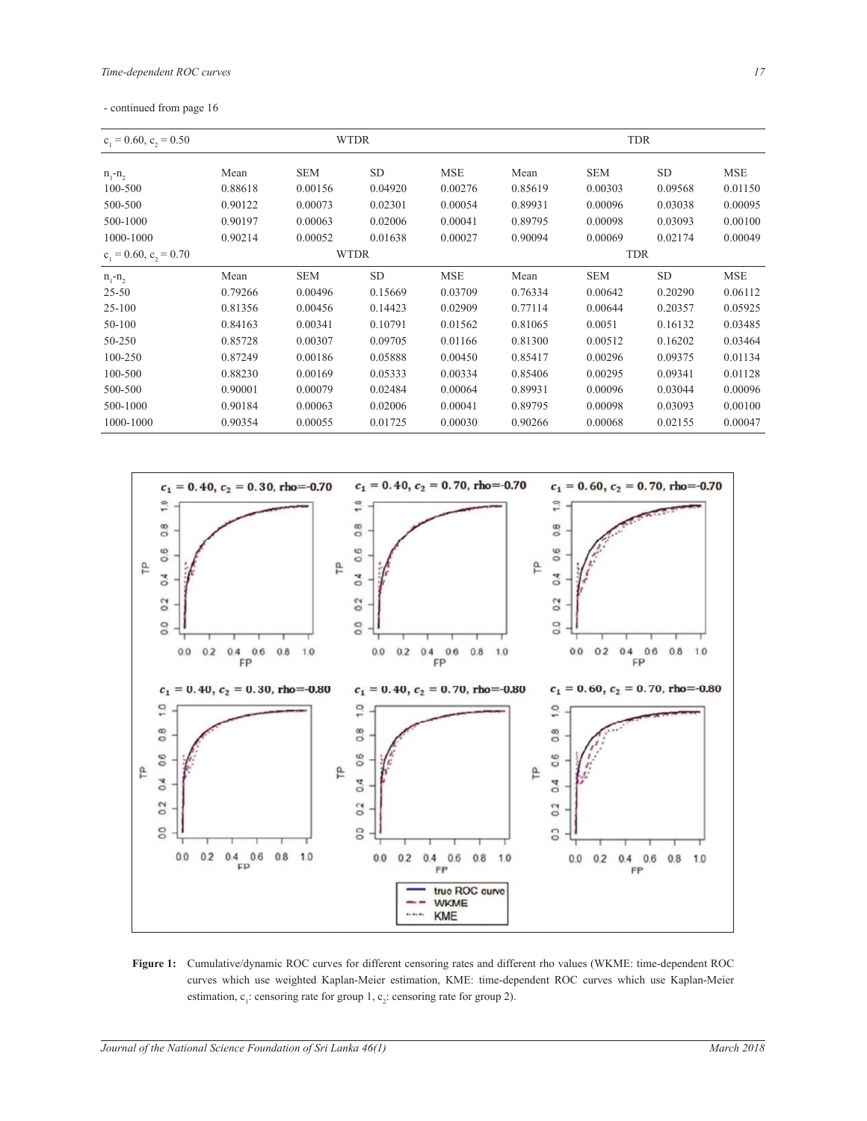|  | - continued from page 16 |  |  |  |
|--|--------------------------|--|--|--|
|--|--------------------------|--|--|--|

| $c_1 = 0.60$ , $c_2 = 0.50$ |         | <b>WTDR</b> |           |            |            | <b>TDR</b> |           |            |  |
|-----------------------------|---------|-------------|-----------|------------|------------|------------|-----------|------------|--|
| $n_1 - n_2$                 | Mean    | <b>SEM</b>  | <b>SD</b> | <b>MSE</b> | Mean       | <b>SEM</b> | <b>SD</b> | <b>MSE</b> |  |
| 100-500                     | 0.88618 | 0.00156     | 0.04920   | 0.00276    | 0.85619    | 0.00303    | 0.09568   | 0.01150    |  |
| 500-500                     | 0.90122 | 0.00073     | 0.02301   | 0.00054    | 0.89931    | 0.00096    | 0.03038   | 0.00095    |  |
| 500-1000                    | 0.90197 | 0.00063     | 0.02006   | 0.00041    | 0.89795    | 0.00098    | 0.03093   | 0.00100    |  |
| 1000-1000                   | 0.90214 | 0.00052     | 0.01638   | 0.00027    | 0.90094    | 0.00069    | 0.02174   | 0.00049    |  |
| $c_1 = 0.60$ , $c_2 = 0.70$ |         | <b>WTDR</b> |           |            | <b>TDR</b> |            |           |            |  |
| $n_1 - n_2$                 | Mean    | <b>SEM</b>  | <b>SD</b> | <b>MSE</b> | Mean       | <b>SEM</b> | <b>SD</b> | <b>MSE</b> |  |
| $25 - 50$                   | 0.79266 | 0.00496     | 0.15669   | 0.03709    | 0.76334    | 0.00642    | 0.20290   | 0.06112    |  |
| $25 - 100$                  | 0.81356 | 0.00456     | 0.14423   | 0.02909    | 0.77114    | 0.00644    | 0.20357   | 0.05925    |  |
| 50-100                      | 0.84163 | 0.00341     | 0.10791   | 0.01562    | 0.81065    | 0.0051     | 0.16132   | 0.03485    |  |
| 50-250                      | 0.85728 | 0.00307     | 0.09705   | 0.01166    | 0.81300    | 0.00512    | 0.16202   | 0.03464    |  |
| 100-250                     | 0.87249 | 0.00186     | 0.05888   | 0.00450    | 0.85417    | 0.00296    | 0.09375   | 0.01134    |  |
| 100-500                     | 0.88230 | 0.00169     | 0.05333   | 0.00334    | 0.85406    | 0.00295    | 0.09341   | 0.01128    |  |
| 500-500                     | 0.90001 | 0.00079     | 0.02484   | 0.00064    | 0.89931    | 0.00096    | 0.03044   | 0.00096    |  |
| 500-1000                    | 0.90184 | 0.00063     | 0.02006   | 0.00041    | 0.89795    | 0.00098    | 0.03093   | 0.00100    |  |
| 1000-1000                   | 0.90354 | 0.00055     | 0.01725   | 0.00030    | 0.90266    | 0.00068    | 0.02155   | 0.00047    |  |



**Figure 1:** Cumulative/dynamic ROC curves for different censoring rates and different rho values (WKME: time-dependent ROC curves which use weighted Kaplan-Meier estimation, KME: time-dependent ROC curves which use Kaplan-Meier edived which due weighted response restaudion, rather with dependence of  $\epsilon_1$ : censoring rate for group 2).

 $S_{\rm{SUSY}}$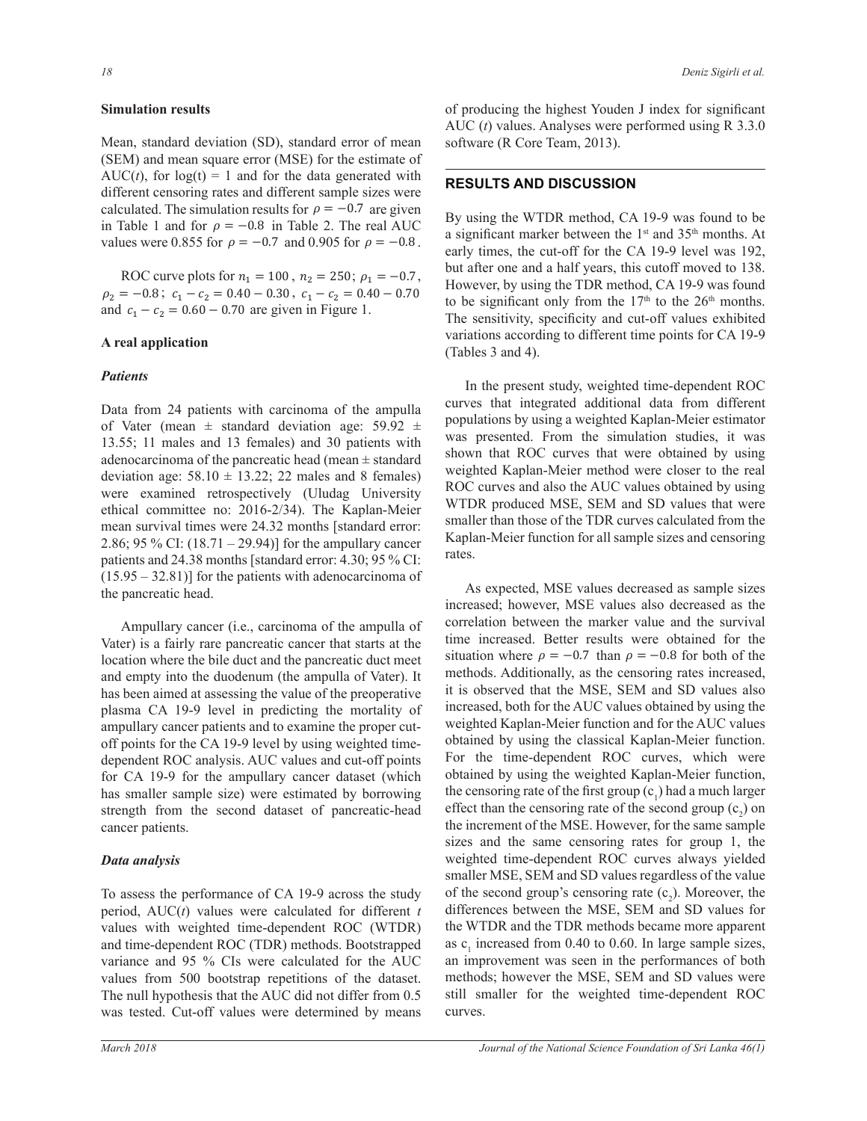### Simulation results  $\mathcal{M}^{\mathcal{M}}$

Mean, standard deviation (SD), standard error of mean Mean, standard deviation (SD), standard error or mean solution in the standard error or mean sequate error (MSE) for the estimate of  $AUC(t)$ , for  $log(t) = 1$  and for the data generated with<br>discovered to the state of different second since seems. different censoring rates and different sample sizes were calculated. The simulation results for  $\rho = -0.7$  are given By us: in Table 1 and for  $\rho = -0.8$  in Table 2. The real AUC a significant values were 0.855 for  $\rho = -0.7$  and 0.905 for  $\rho = -0.8$ . a significant mark ܨ ୀଵ Mean, standard deviation (SD), standard error of mea ߩ<sup>ଶ</sup> ൌ െͲǤͺ ܿ<sup>ଵ</sup> െ ܿ<sup>ଶ</sup> ൌ ͲǤͶͲ െ ͲǤ͵Ͳ ܿ<sup>ଵ</sup> െ ܿ<sup>ଶ</sup> ൌ ͲǤͶͲ െ ͲǤͲ

ROC curve plots for  $n_1 = 100$ ,  $n_2 = 250$ ;  $\rho_1 = -0.7$ ,  $\rho_2 = -0.8$ ;  $c_1 - c_2 = 0.40 - 0.30$ ,  $c_1 - c_2 = 0.40 - 0.70$ <br>to be signal  $p_2 = 0.3$ ,  $c_1 + c_2 = 0.16$   $-0.70$  are given in Figure 1.

# A real application

## *Patients*

Data from 24 patients with carcinoma of the ampulla of Vater (mean  $\pm$  standard deviation age: 59.92  $\pm$ 13.55; 11 males and 13 females) and 30 patients with  $\frac{\text{was presented}}{\text{shown that } BOC}$  curves the adenocarcinoma of the pancreatic head (mean ± standard deviation age:  $58.10 \pm 13.22$ ; 22 males and 8 females) were examined retrospectively (Uludag University ethical committee no: 2016-2/34). The Kaplan-Meier mean survival times were 24.32 months [standard error: 2.86; 95 % CI:  $(18.71 - 29.94)$ ] for the ampullary cancer patients and  $24.38$  months [standard error:  $4.30$ ;  $95\%$  CI:  $(15.95 - 32.81)$  for the patients with adenocarcinoma of the pancreatic head.

Ampullary cancer (i.e., carcinoma of the ampulla of correlation Vater) is a fairly rare pancreatic cancer that starts at the location where the bile duct and the pancreatic duct meet situation where  $\rho = -0.7$  than  $\rho = -0.8$ and empty into the duodenum (the ampulla of Vater). It has been aimed at assessing the value of the preoperative plasma CA 19-9 level in predicting the mortality of lincreased, both for the AUC values obtain<br>matched Kenlan Maier function and for ampullary cancer patients and to examine the proper cutoff points for the CA 19-9 level by using weighted timedependent ROC analysis. AUC values and cut-off points dependent rice dilary sister of various and out on points<br>for CA 19-9 for the ampullary cancer dataset (which obtained by using the we has smaller sample size) were estimated by borrowing strength from the second dataset of pancreatic-head cancer patients.

# *Data analysis*

To assess the performance of CA 19-9 across the study period, AUC(*t*) values were calculated for different *t* values with weighted time-dependent ROC (WTDR) and time-dependent ROC (TDR) methods. Bootstrapped variance and 95 % CIs were calculated for the AUC values from 500 bootstrap repetitions of the dataset. The null hypothesis that the AUC did not differ from 0.5 was tested. Cut-off values were determined by means of producing the highest Youden J index for significant AUC (*t*) values. Analyses were performed using R 3.3.0 software (R Core Team, 2013).

# **RESULTS AND DISCUSSION**

By using the WTDR method, CA 19-9 was found to be or  $\rho = -0.8$  in Table 2. The real AUC assignificant marker between the 1<sup>st</sup> and 35<sup>th</sup> months. At a significant marker between the 1<sup>st</sup> and 35<sup>th</sup> months. At early times, the cut-off for the CA 19-9 level was 192, but after one and a half years, this cutoff moved to 138. However, by using the TDR method, CA 19-9 was found  $1.70$  to be significant only from the  $17<sup>th</sup>$  to the  $26<sup>th</sup>$  months. to be significant only from the 17<sup>th</sup> to the 20<sup>th</sup> months.<br>The sensitivity, specificity and cut-off values exhibited variations according to different time points for CA 19-9 (Tables 3 and 4).

In the present study, weighted time-dependent ROC curves that integrated additional data from different populations by using a weighted Kaplan-Meier estimator was presented. From the simulation studies, it was 30 patients with was presenced. From the simulation studies, it was  $\frac{1}{2}$  was shown that ROC curves that were obtained by using weighted Kaplan-Meier method were closer to the real ROC curves and also the AUC values obtained by using  $\frac{1}{2016}$   $\frac{1}{2016}$  The Kaplan-Meier WTDR produced MSE, SEM and SD values that were smaller than those of the TDR curves calculated from the Kaplan-Meier function for all sample sizes and censoring  $\vdots$  rates.  $\frac{1}{\sqrt{2}}$  $1a$   $\infty$ .

 As expected, MSE values decreased as sample sizes increased; however, MSE values also decreased as the correlation between the marker value and the survival time increased. Better results were obtained for the duct and the pancreatic duct meet situation where  $\rho = -0.7$  than  $\rho = -0.8$  for both of the ampullary cancer dataset (which obtained by using the weighted Kaplan-Meier function, the increment of the MSE. However, for the same sample methods. Additionally, as the censoring rates increased, it is observed that the MSE, SEM and SD values also increased, both for the AUC values obtained by using the weighted Kaplan-Meier function and for the AUC values obtained by using the classical Kaplan-Meier function. For the time-dependent ROC curves, which were the censoring rate of the first group  $(c_1)$  had a much larger effect than the censoring rate of the second group  $(c_2)$  on sizes and the same censoring rates for group 1, the weighted time-dependent ROC curves always yielded smaller MSE, SEM and SD values regardless of the value of the second group's censoring rate  $(c_2)$ . Moreover, the differences between the MSE, SEM and SD values for the WTDR and the TDR methods became more apparent as  $c_1$  increased from 0.40 to 0.60. In large sample sizes, an improvement was seen in the performances of both methods; however the MSE, SEM and SD values were still smaller for the weighted time-dependent ROC curves.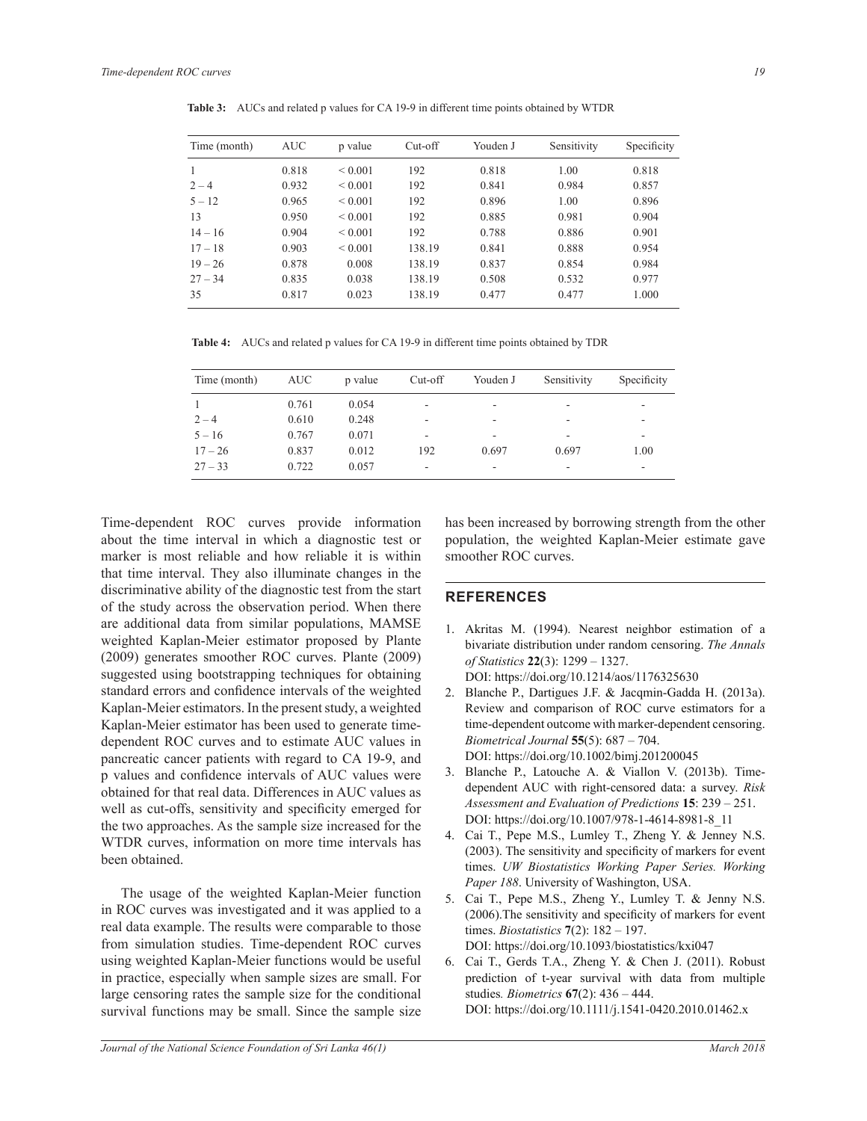| Time (month) | <b>AUC</b> | p value      | $Cut-off$ | Youden J | Sensitivity | Specificity |
|--------------|------------|--------------|-----------|----------|-------------|-------------|
| 1            | 0.818      | ${}_{0.001}$ | 192       | 0.818    | 1.00        | 0.818       |
| $2 - 4$      | 0.932      | ${}_{0.001}$ | 192       | 0.841    | 0.984       | 0.857       |
| $5 - 12$     | 0.965      | ${}_{0.001}$ | 192       | 0.896    | 1.00        | 0.896       |
| 13           | 0.950      | ${}_{0.001}$ | 192       | 0.885    | 0.981       | 0.904       |
| $14 - 16$    | 0.904      | ${}_{0.001}$ | 192       | 0.788    | 0.886       | 0.901       |
| $17 - 18$    | 0.903      | ${}_{0.001}$ | 138.19    | 0.841    | 0.888       | 0.954       |
| $19 - 26$    | 0.878      | 0.008        | 138.19    | 0.837    | 0.854       | 0.984       |
| $27 - 34$    | 0.835      | 0.038        | 138.19    | 0.508    | 0.532       | 0.977       |
| 35           | 0.817      | 0.023        | 138.19    | 0.477    | 0.477       | 1.000       |

**Table 3:** AUCs and related p values for CA 19-9 in different time points obtained by WTDR

**Table 4:** AUCs and related p values for CA 19-9 in different time points obtained by TDR

| Time (month) | AUC   | p value | Cut-off                  | Youden J | Sensitivity | Specificity |
|--------------|-------|---------|--------------------------|----------|-------------|-------------|
|              | 0.761 | 0.054   | $\overline{\phantom{a}}$ | ۰        | ۰           |             |
| $2 - 4$      | 0.610 | 0.248   | $\overline{\phantom{a}}$ | -        | ۰           | -           |
| $5 - 16$     | 0.767 | 0.071   | $\overline{\phantom{a}}$ | -        | ۰           | -           |
| $17 - 26$    | 0.837 | 0.012   | 192                      | 0.697    | 0.697       | 1.00        |
| $27 - 33$    | 0.722 | 0.057   | $\overline{\phantom{a}}$ | -        | -           | ۰           |

Time-dependent ROC curves provide information about the time interval in which a diagnostic test or marker is most reliable and how reliable it is within that time interval. They also illuminate changes in the discriminative ability of the diagnostic test from the start of the study across the observation period. When there are additional data from similar populations, MAMSE weighted Kaplan-Meier estimator proposed by Plante (2009) generates smoother ROC curves. Plante (2009) suggested using bootstrapping techniques for obtaining standard errors and confidence intervals of the weighted Kaplan-Meier estimators. In the present study, a weighted Kaplan-Meier estimator has been used to generate timedependent ROC curves and to estimate AUC values in pancreatic cancer patients with regard to CA 19-9, and p values and confidence intervals of AUC values were obtained for that real data. Differences in AUC values as well as cut-offs, sensitivity and specificity emerged for the two approaches. As the sample size increased for the WTDR curves, information on more time intervals has been obtained.

 The usage of the weighted Kaplan-Meier function in ROC curves was investigated and it was applied to a real data example. The results were comparable to those from simulation studies. Time-dependent ROC curves using weighted Kaplan-Meier functions would be useful in practice, especially when sample sizes are small. For large censoring rates the sample size for the conditional survival functions may be small. Since the sample size

has been increased by borrowing strength from the other population, the weighted Kaplan-Meier estimate gave smoother ROC curves.

## **REFERENCES**

- 1. Akritas M. (1994). Nearest neighbor estimation of a bivariate distribution under random censoring. *The Annals RI6WDWLVWLFV***22**(3): 1299 – 1327. DOI: https://doi.org/10.1214/aos/1176325630
- 2. Blanche P., Dartigues J.F. & Jacqmin-Gadda H. (2013a). Review and comparison of ROC curve estimators for a time-dependent outcome with marker-dependent censoring. *Biometrical Journal* **55**(5): 687 – 704. DOI: https://doi.org/10.1002/bimj.201200045
- 3. Blanche P., Latouche A. & Viallon V. (2013b). Timedependent AUC with right-censored data: a survey. *Risk*  Assessment and Evaluation of Predictions 15: 239 – 251. DOI: https://doi.org/10.1007/978-1-4614-8981-8\_11
- 4. Cai T., Pepe M.S., Lumley T., Zheng Y. & Jenney N.S.  $(2003)$ . The sensitivity and specificity of markers for event times. *UW Biostatistics Working Paper Series. Working Paper 188*. University of Washington, USA.
- 5. Cai T., Pepe M.S., Zheng Y., Lumley T. & Jenny N.S.  $(2006)$ . The sensitivity and specificity of markers for event times. *Biostatistics* **7**(2): 182 – 197. DOI: https://doi.org/10.1093/biostatistics/kxi047
- 6. Cai T., Gerds T.A., Zheng Y. & Chen J. (2011). Robust prediction of t-year survival with data from multiple studies*. Biometrics* **67**(2): 436 – 444. DOI: https://doi.org/10.1111/j.1541-0420.2010.01462.x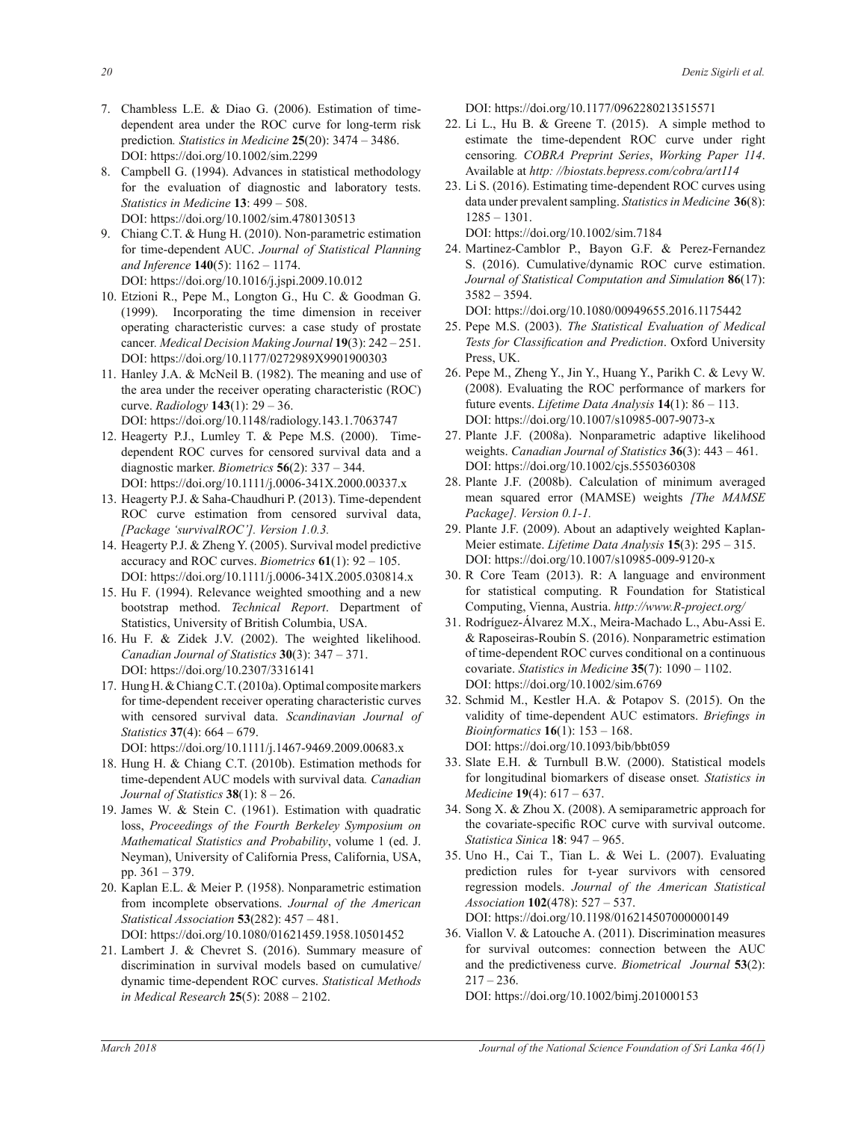- 7. Chambless L.E. & Diao G. (2006). Estimation of timedependent area under the ROC curve for long-term risk prediction*. Statistics in Medicine* **25**(20): 3474 – 3486. DOI: https://doi.org/10.1002/sim.2299
- 8. Campbell G. (1994). Advances in statistical methodology for the evaluation of diagnostic and laboratory tests. *Statistics in Medicine* **13**: 499 – 508. DOI: https://doi.org/10.1002/sim.4780130513
- 9. Chiang C.T. & Hung H. (2010). Non-parametric estimation for time-dependent AUC. Journal of Statistical Planning and Inference **140**(5): 1162 – 1174. DOI: https://doi.org/10.1016/j.jspi.2009.10.012
- 10. Etzioni R., Pepe M., Longton G., Hu C. & Goodman G. (1999). Incorporating the time dimension in receiver operating characteristic curves: a case study of prostate cancer*. Medical Decision Making Journal* **19**(3): 242 – 251. DOI: https://doi.org/10.1177/0272989X9901900303
- 11. Hanley J.A. & McNeil B. (1982). The meaning and use of the area under the receiver operating characteristic (ROC) curve. *Radiology* **143**(1): 29 – 36. DOI: https://doi.org/10.1148/radiology.143.1.7063747
- 12. Heagerty P.J., Lumley T. & Pepe M.S. (2000). Timedependent ROC curves for censored survival data and a diagnostic marker. *Biometrics* **56**(2): 337 – 344. DOI: https://doi.org/10.1111/j.0006-341X.2000.00337.x
- 13. Heagerty P.J. & Saha-Chaudhuri P. (2013). Time-dependent ROC curve estimation from censored survival data, *[Package 'survivalROC']. Version 1.0.3.*
- 14. Heagerty P.J. & Zheng Y. (2005). Survival model predictive accuracy and ROC curves. *Biometrics* **61**(1): 92 – 105. DOI: https://doi.org/10.1111/j.0006-341X.2005.030814.x
- 15. Hu F. (1994). Relevance weighted smoothing and a new bootstrap method. *Technical Report*. Department of Statistics, University of British Columbia, USA.
- 16. Hu F. & Zidek J.V. (2002). The weighted likelihood. *Canadian Journal of Statistics* **30**(3): 347 – 371. DOI: https://doi.org/10.2307/3316141
- 17. Hung H. & Chiang C.T. (2010a). Optimal composite markers for time-dependent receiver operating characteristic curves with censored survival data. *Scandinavian Journal of Statistics* **37**(4): 664 – 679.
	- DOI: https://doi.org/10.1111/j.1467-9469.2009.00683.x
- 18. Hung H. & Chiang C.T. (2010b). Estimation methods for time-dependent AUC models with survival data. *Canadian Journal of Statistics* **38**(1): 8 – 26.
- 19. James W. & Stein C. (1961). Estimation with quadratic loss, *Proceedings of the Fourth Berkeley Symposium on Mathematical Statistics and Probability*, volume 1 (ed. J. Neyman), University of California Press, California, USA, pp. 361 – 379.
- 20. Kaplan E.L. & Meier P. (1958). Nonparametric estimation from incomplete observations. Journal of the American *Statistical Association* **53**(282): 457 – 481. DOI: https://doi.org/10.1080/01621459.1958.10501452
- 21. Lambert J. & Chevret S. (2016). Summary measure of discrimination in survival models based on cumulative/ dynamic time-dependent ROC curves. *Statistical Methods in Medical Research* **25**(5): 2088 – 2102.

DOI: https://doi.org/10.1177/0962280213515571

- 22. Li L., Hu B. & Greene T. (2015). A simple method to estimate the time-dependent ROC curve under right censoring. COBRA Preprint Series, Working Paper 114. Available at *http: //biostats.bepress.com/cobra/art114*
- 23. Li S. (2016). Estimating time-dependent ROC curves using data under prevalent sampling. *Statistics in Medicine* **36**(8): 1285 – 1301.

DOI: https://doi.org/10.1002/sim.7184

24. Martinez-Camblor P., Bayon G.F. & Perez-Fernandez S. (2016). Cumulative/dynamic ROC curve estimation. *Journal of Statistical Computation and Simulation* 86(17): 3582 – 3594.

DOI: https://doi.org/10.1080/00949655.2016.1175442

- 25. Pepe M.S. (2003). *The Statistical Evaluation of Medical* Tests for Classification and Prediction. Oxford University Press, UK.
- 26. Pepe M., Zheng Y., Jin Y., Huang Y., Parikh C. & Levy W. (2008). Evaluating the ROC performance of markers for future events. *Lifetime Data Analysis* **14**(1): 86 – 113. DOI: https://doi.org/10.1007/s10985-007-9073-x
- 27. Plante J.F. (2008a). Nonparametric adaptive likelihood weights. *Canadian Journal of Statistics* **36**(3): 443 – 461. DOI: https://doi.org/10.1002/cjs.5550360308
- 28. Plante J.F. (2008b). Calculation of minimum averaged mean squared error (MAMSE) weights *[The MAMSE*  Package]. Version 0.1-1.
- 29. Plante J.F. (2009). About an adaptively weighted Kaplan-Meier estimate. *Lifetime Data Analysis* **15**(3): 295 – 315. DOI: https://doi.org/10.1007/s10985-009-9120-x
- 30. R Core Team (2013). R: A language and environment for statistical computing. R Foundation for Statistical Computing, Vienna, Austria. http://www.R-project.org/
- 31. Rodríguez-Álvarez M.X., Meira-Machado L., Abu-Assi E. & Raposeiras-Roubín S. (2016). Nonparametric estimation of time-dependent ROC curves conditional on a continuous covariate. *Statistics in Medicine* **35**(7): 1090 – 1102. DOI: https://doi.org/10.1002/sim.6769
- 32. Schmid M., Kestler H.A. & Potapov S. (2015). On the validity of time-dependent AUC estimators. *Briefings in Bioinformatics* **16**(1): 153 – 168. DOI: https://doi.org/10.1093/bib/bbt059
- 33. Slate E.H. & Turnbull B.W. (2000). Statistical models for longitudinal biomarkers of disease onset*. Statistics in Medicine* **19**(4): 617 – 637.
- 34. Song X. & Zhou X. (2008). A semiparametric approach for the covariate-specific ROC curve with survival outcome. *Statistica Sinica* 1**8**: 947 – 965.
- 35. Uno H., Cai T., Tian L. & Wei L. (2007). Evaluating prediction rules for t-year survivors with censored regression models. *Journal of the American Statistical Association* **102**(478): 527 – 537.

DOI: https://doi.org/10.1198/016214507000000149

36. Viallon V. & Latouche A. (2011). Discrimination measures for survival outcomes: connection between the AUC and the predictiveness curve. *Biometrical Journal* **53**(2):  $217 - 236$ .

DOI: https://doi.org/10.1002/bimj.201000153